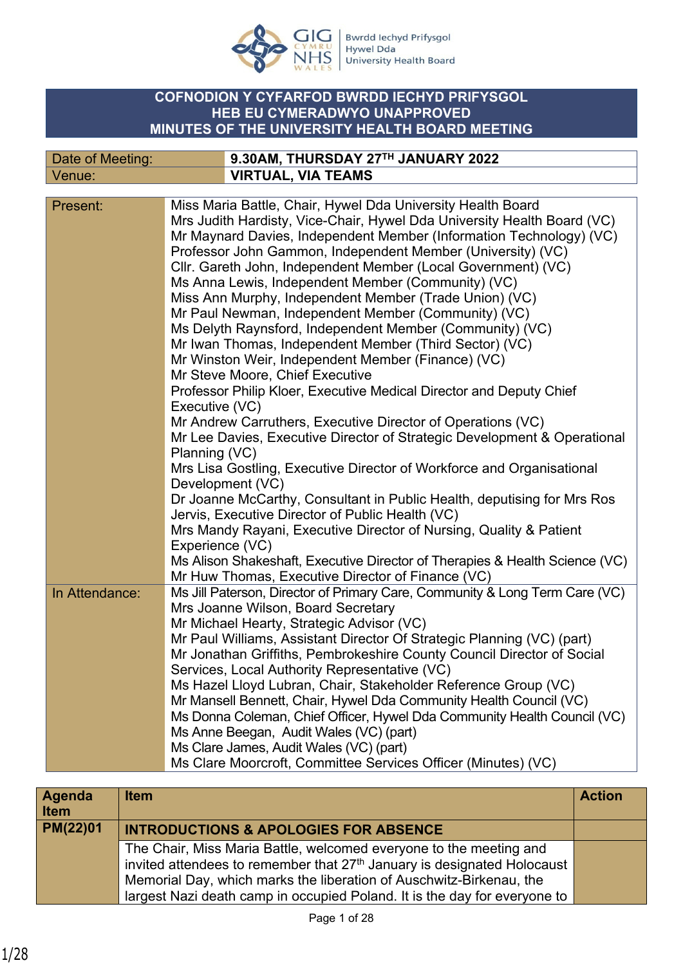

Bwrdd Iechyd Prifysgol<br>Hywel Dda<br>University Health Board

## **COFNODION Y CYFARFOD BWRDD IECHYD PRIFYSGOL HEB EU CYMERADWYO UNAPPROVED MINUTES OF THE UNIVERSITY HEALTH BOARD MEETING**

| Date of Meeting: | 9.30AM, THURSDAY 27TH JANUARY 2022 |
|------------------|------------------------------------|
| Venue:           | <b>VIRTUAL, VIA TEAMS</b>          |

| Present:       | Miss Maria Battle, Chair, Hywel Dda University Health Board                 |
|----------------|-----------------------------------------------------------------------------|
|                | Mrs Judith Hardisty, Vice-Chair, Hywel Dda University Health Board (VC)     |
|                | Mr Maynard Davies, Independent Member (Information Technology) (VC)         |
|                | Professor John Gammon, Independent Member (University) (VC)                 |
|                | Cllr. Gareth John, Independent Member (Local Government) (VC)               |
|                | Ms Anna Lewis, Independent Member (Community) (VC)                          |
|                | Miss Ann Murphy, Independent Member (Trade Union) (VC)                      |
|                | Mr Paul Newman, Independent Member (Community) (VC)                         |
|                | Ms Delyth Raynsford, Independent Member (Community) (VC)                    |
|                | Mr Iwan Thomas, Independent Member (Third Sector) (VC)                      |
|                | Mr Winston Weir, Independent Member (Finance) (VC)                          |
|                | Mr Steve Moore, Chief Executive                                             |
|                | Professor Philip Kloer, Executive Medical Director and Deputy Chief         |
|                | Executive (VC)                                                              |
|                | Mr Andrew Carruthers, Executive Director of Operations (VC)                 |
|                | Mr Lee Davies, Executive Director of Strategic Development & Operational    |
|                | Planning (VC)                                                               |
|                | Mrs Lisa Gostling, Executive Director of Workforce and Organisational       |
|                | Development (VC)                                                            |
|                | Dr Joanne McCarthy, Consultant in Public Health, deputising for Mrs Ros     |
|                | Jervis, Executive Director of Public Health (VC)                            |
|                | Mrs Mandy Rayani, Executive Director of Nursing, Quality & Patient          |
|                | Experience (VC)                                                             |
|                | Ms Alison Shakeshaft, Executive Director of Therapies & Health Science (VC) |
|                | Mr Huw Thomas, Executive Director of Finance (VC)                           |
| In Attendance: | Ms Jill Paterson, Director of Primary Care, Community & Long Term Care (VC) |
|                | Mrs Joanne Wilson, Board Secretary                                          |
|                | Mr Michael Hearty, Strategic Advisor (VC)                                   |
|                | Mr Paul Williams, Assistant Director Of Strategic Planning (VC) (part)      |
|                | Mr Jonathan Griffiths, Pembrokeshire County Council Director of Social      |
|                | Services, Local Authority Representative (VC)                               |
|                | Ms Hazel Lloyd Lubran, Chair, Stakeholder Reference Group (VC)              |
|                | Mr Mansell Bennett, Chair, Hywel Dda Community Health Council (VC)          |
|                | Ms Donna Coleman, Chief Officer, Hywel Dda Community Health Council (VC)    |
|                | Ms Anne Beegan, Audit Wales (VC) (part)                                     |
|                | Ms Clare James, Audit Wales (VC) (part)                                     |
|                | Ms Clare Moorcroft, Committee Services Officer (Minutes) (VC)               |

| <b>Agenda</b><br><b>Item</b> | <b>Item</b>                                                                                                                                                                                                                                                                                                   | <b>Action</b> |
|------------------------------|---------------------------------------------------------------------------------------------------------------------------------------------------------------------------------------------------------------------------------------------------------------------------------------------------------------|---------------|
| PM(22)01                     | <b>INTRODUCTIONS &amp; APOLOGIES FOR ABSENCE</b>                                                                                                                                                                                                                                                              |               |
|                              | The Chair, Miss Maria Battle, welcomed everyone to the meeting and<br>invited attendees to remember that 27 <sup>th</sup> January is designated Holocaust<br>Memorial Day, which marks the liberation of Auschwitz-Birkenau, the<br>largest Nazi death camp in occupied Poland. It is the day for everyone to |               |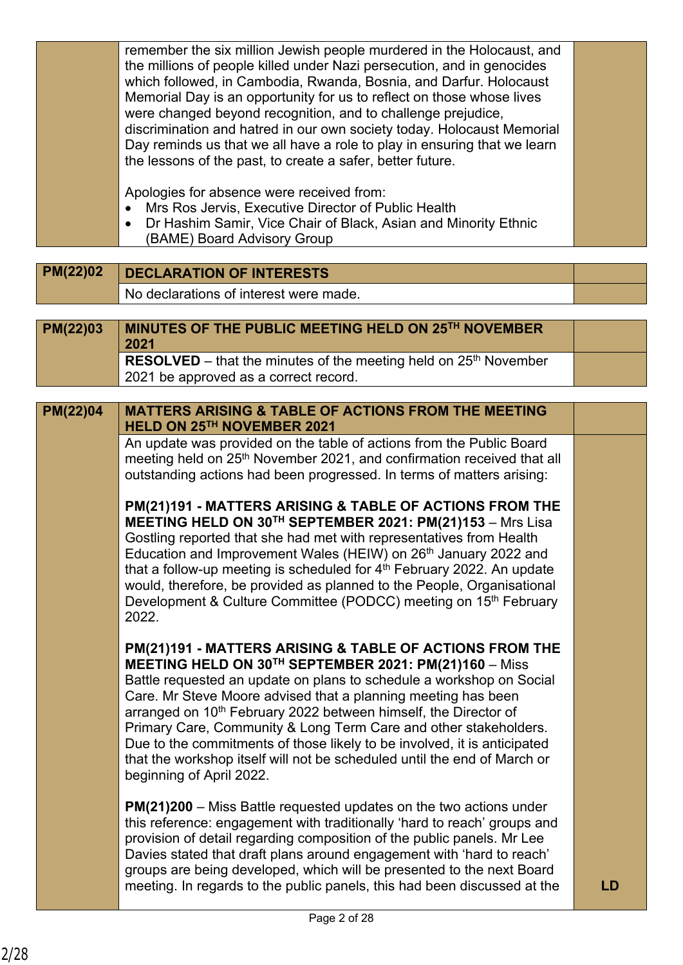|                                     | Day reminds us that we all have a role to play in ensuring that we learn<br>the lessons of the past, to create a safer, better future.<br>Apologies for absence were received from:<br>Mrs Ros Jervis, Executive Director of Public Health |  |
|-------------------------------------|--------------------------------------------------------------------------------------------------------------------------------------------------------------------------------------------------------------------------------------------|--|
|                                     | Dr Hashim Samir, Vice Chair of Black, Asian and Minority Ethnic<br>(BAME) Board Advisory Group                                                                                                                                             |  |
| <b><i><u><b>BIGGIGG</b></u></i></b> |                                                                                                                                                                                                                                            |  |

**PM(22)02 DECLARATION OF INTERESTS** No declarations of interest were made.

| PM(22)03 | MINUTES OF THE PUBLIC MEETING HELD ON 25TH NOVEMBER<br>2021        |  |
|----------|--------------------------------------------------------------------|--|
|          | RESOLVED – that the minutes of the meeting held on $25th$ November |  |
|          | 2021 be approved as a correct record.                              |  |

**MATTERS ARISING & TABLE OF ACTIONS FROM THE MEETING HELD ON 25TH NOVEMBER 2021 PM(22)04**

An update was provided on the table of actions from the Public Board meeting held on 25<sup>th</sup> November 2021, and confirmation received that all outstanding actions had been progressed. In terms of matters arising:

**PM(21)191 - MATTERS ARISING & TABLE OF ACTIONS FROM THE MEETING HELD ON 30TH SEPTEMBER 2021: PM(21)153** – Mrs Lisa Gostling reported that she had met with representatives from Health Education and Improvement Wales (HEIW) on 26<sup>th</sup> January 2022 and that a follow-up meeting is scheduled for  $4<sup>th</sup>$  February 2022. An update would, therefore, be provided as planned to the People, Organisational Development & Culture Committee (PODCC) meeting on 15<sup>th</sup> February 2022.

**PM(21)191 - MATTERS ARISING & TABLE OF ACTIONS FROM THE MEETING HELD ON 30TH SEPTEMBER 2021: PM(21)160** – Miss Battle requested an update on plans to schedule a workshop on Social Care. Mr Steve Moore advised that a planning meeting has been arranged on 10<sup>th</sup> February 2022 between himself, the Director of Primary Care, Community & Long Term Care and other stakeholders. Due to the commitments of those likely to be involved, it is anticipated that the workshop itself will not be scheduled until the end of March or beginning of April 2022.

**PM(21)200** – Miss Battle requested updates on the two actions under this reference: engagement with traditionally 'hard to reach' groups and provision of detail regarding composition of the public panels. Mr Lee Davies stated that draft plans around engagement with 'hard to reach' groups are being developed, which will be presented to the next Board meeting. In regards to the public panels, this had been discussed at the **LD**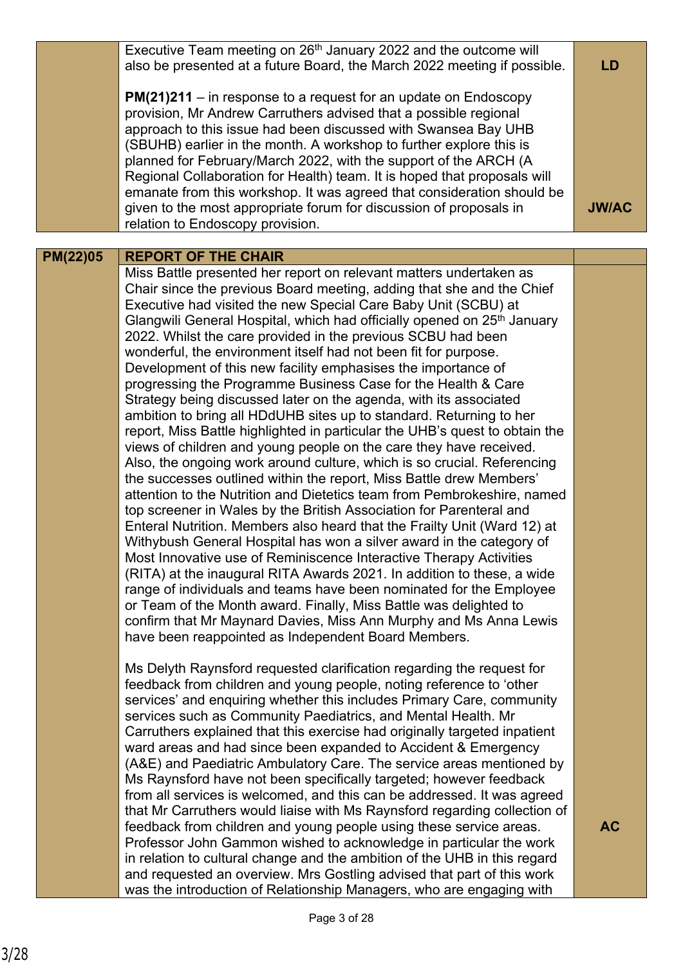|          | Executive Team meeting on 26 <sup>th</sup> January 2022 and the outcome will<br>also be presented at a future Board, the March 2022 meeting if possible.<br>$PM(21)211 - in$ response to a request for an update on Endoscopy<br>provision, Mr Andrew Carruthers advised that a possible regional<br>approach to this issue had been discussed with Swansea Bay UHB<br>(SBUHB) earlier in the month. A workshop to further explore this is<br>planned for February/March 2022, with the support of the ARCH (A<br>Regional Collaboration for Health) team. It is hoped that proposals will<br>emanate from this workshop. It was agreed that consideration should be<br>given to the most appropriate forum for discussion of proposals in<br>relation to Endoscopy provision.                                                                                                                                                                                                                                                                                                                                                                                                                                                                                                                                                                                                                                                                                                                                                                                                                                                                                                                                                                             | LD<br><b>JW/AC</b> |
|----------|------------------------------------------------------------------------------------------------------------------------------------------------------------------------------------------------------------------------------------------------------------------------------------------------------------------------------------------------------------------------------------------------------------------------------------------------------------------------------------------------------------------------------------------------------------------------------------------------------------------------------------------------------------------------------------------------------------------------------------------------------------------------------------------------------------------------------------------------------------------------------------------------------------------------------------------------------------------------------------------------------------------------------------------------------------------------------------------------------------------------------------------------------------------------------------------------------------------------------------------------------------------------------------------------------------------------------------------------------------------------------------------------------------------------------------------------------------------------------------------------------------------------------------------------------------------------------------------------------------------------------------------------------------------------------------------------------------------------------------------------------------|--------------------|
|          |                                                                                                                                                                                                                                                                                                                                                                                                                                                                                                                                                                                                                                                                                                                                                                                                                                                                                                                                                                                                                                                                                                                                                                                                                                                                                                                                                                                                                                                                                                                                                                                                                                                                                                                                                            |                    |
| PM(22)05 | <b>REPORT OF THE CHAIR</b>                                                                                                                                                                                                                                                                                                                                                                                                                                                                                                                                                                                                                                                                                                                                                                                                                                                                                                                                                                                                                                                                                                                                                                                                                                                                                                                                                                                                                                                                                                                                                                                                                                                                                                                                 |                    |
|          | Miss Battle presented her report on relevant matters undertaken as<br>Chair since the previous Board meeting, adding that she and the Chief<br>Executive had visited the new Special Care Baby Unit (SCBU) at<br>Glangwili General Hospital, which had officially opened on 25 <sup>th</sup> January<br>2022. Whilst the care provided in the previous SCBU had been<br>wonderful, the environment itself had not been fit for purpose.<br>Development of this new facility emphasises the importance of<br>progressing the Programme Business Case for the Health & Care<br>Strategy being discussed later on the agenda, with its associated<br>ambition to bring all HDdUHB sites up to standard. Returning to her<br>report, Miss Battle highlighted in particular the UHB's quest to obtain the<br>views of children and young people on the care they have received.<br>Also, the ongoing work around culture, which is so crucial. Referencing<br>the successes outlined within the report, Miss Battle drew Members'<br>attention to the Nutrition and Dietetics team from Pembrokeshire, named<br>top screener in Wales by the British Association for Parenteral and<br>Enteral Nutrition. Members also heard that the Frailty Unit (Ward 12) at<br>Withybush General Hospital has won a silver award in the category of<br>Most Innovative use of Reminiscence Interactive Therapy Activities<br>(RITA) at the inaugural RITA Awards 2021. In addition to these, a wide<br>range of individuals and teams have been nominated for the Employee<br>or Team of the Month award. Finally, Miss Battle was delighted to<br>confirm that Mr Maynard Davies, Miss Ann Murphy and Ms Anna Lewis<br>have been reappointed as Independent Board Members. |                    |
|          | Ms Delyth Raynsford requested clarification regarding the request for<br>feedback from children and young people, noting reference to 'other<br>services' and enquiring whether this includes Primary Care, community<br>services such as Community Paediatrics, and Mental Health. Mr<br>Carruthers explained that this exercise had originally targeted inpatient<br>ward areas and had since been expanded to Accident & Emergency<br>(A&E) and Paediatric Ambulatory Care. The service areas mentioned by<br>Ms Raynsford have not been specifically targeted; however feedback<br>from all services is welcomed, and this can be addressed. It was agreed<br>that Mr Carruthers would liaise with Ms Raynsford regarding collection of<br>feedback from children and young people using these service areas.                                                                                                                                                                                                                                                                                                                                                                                                                                                                                                                                                                                                                                                                                                                                                                                                                                                                                                                                          | <b>AC</b>          |
|          | Professor John Gammon wished to acknowledge in particular the work<br>in relation to cultural change and the ambition of the UHB in this regard<br>and requested an overview. Mrs Gostling advised that part of this work<br>was the introduction of Relationship Managers, who are engaging with                                                                                                                                                                                                                                                                                                                                                                                                                                                                                                                                                                                                                                                                                                                                                                                                                                                                                                                                                                                                                                                                                                                                                                                                                                                                                                                                                                                                                                                          |                    |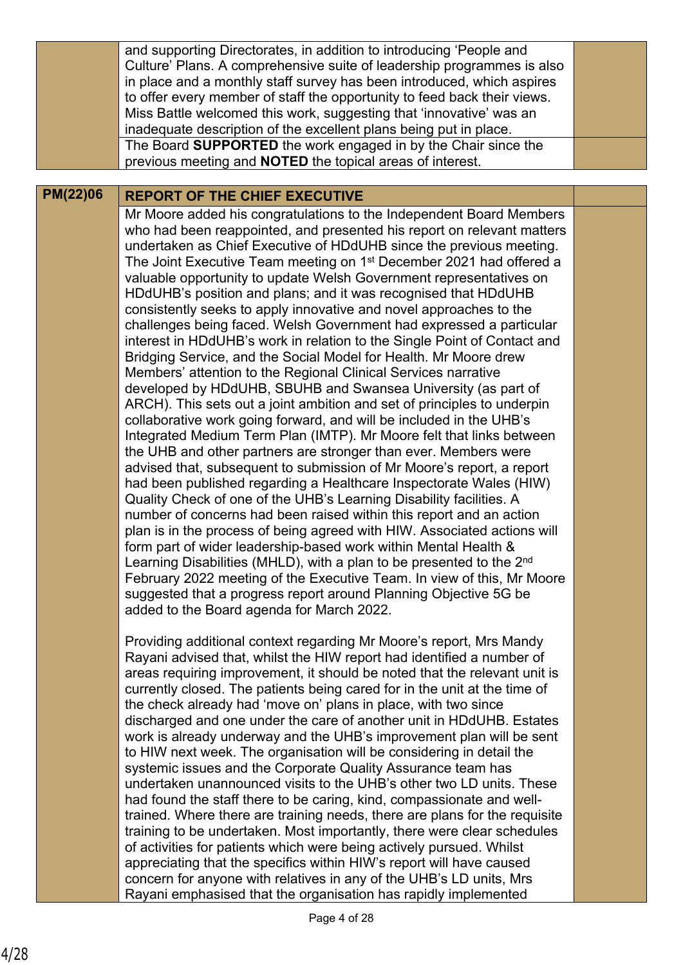|                 | and supporting Directorates, in addition to introducing 'People and<br>Culture' Plans. A comprehensive suite of leadership programmes is also<br>in place and a monthly staff survey has been introduced, which aspires<br>to offer every member of staff the opportunity to feed back their views.<br>Miss Battle welcomed this work, suggesting that 'innovative' was an<br>inadequate description of the excellent plans being put in place.<br>The Board SUPPORTED the work engaged in by the Chair since the<br>previous meeting and <b>NOTED</b> the topical areas of interest.                                                                                                                                                                                                                                                                                                                                                                                                                                                                                                                                                                                                                                                                                                                                                                                                                                                                                                                                                                                                                                                                                                                                                                                                                                                                                                                   |  |
|-----------------|---------------------------------------------------------------------------------------------------------------------------------------------------------------------------------------------------------------------------------------------------------------------------------------------------------------------------------------------------------------------------------------------------------------------------------------------------------------------------------------------------------------------------------------------------------------------------------------------------------------------------------------------------------------------------------------------------------------------------------------------------------------------------------------------------------------------------------------------------------------------------------------------------------------------------------------------------------------------------------------------------------------------------------------------------------------------------------------------------------------------------------------------------------------------------------------------------------------------------------------------------------------------------------------------------------------------------------------------------------------------------------------------------------------------------------------------------------------------------------------------------------------------------------------------------------------------------------------------------------------------------------------------------------------------------------------------------------------------------------------------------------------------------------------------------------------------------------------------------------------------------------------------------------|--|
|                 |                                                                                                                                                                                                                                                                                                                                                                                                                                                                                                                                                                                                                                                                                                                                                                                                                                                                                                                                                                                                                                                                                                                                                                                                                                                                                                                                                                                                                                                                                                                                                                                                                                                                                                                                                                                                                                                                                                         |  |
| <b>PM(22)06</b> | <b>REPORT OF THE CHIEF EXECUTIVE</b>                                                                                                                                                                                                                                                                                                                                                                                                                                                                                                                                                                                                                                                                                                                                                                                                                                                                                                                                                                                                                                                                                                                                                                                                                                                                                                                                                                                                                                                                                                                                                                                                                                                                                                                                                                                                                                                                    |  |
|                 | Mr Moore added his congratulations to the Independent Board Members<br>who had been reappointed, and presented his report on relevant matters<br>undertaken as Chief Executive of HDdUHB since the previous meeting.<br>The Joint Executive Team meeting on 1 <sup>st</sup> December 2021 had offered a<br>valuable opportunity to update Welsh Government representatives on<br>HDdUHB's position and plans; and it was recognised that HDdUHB<br>consistently seeks to apply innovative and novel approaches to the<br>challenges being faced. Welsh Government had expressed a particular<br>interest in HDdUHB's work in relation to the Single Point of Contact and<br>Bridging Service, and the Social Model for Health. Mr Moore drew<br>Members' attention to the Regional Clinical Services narrative<br>developed by HDdUHB, SBUHB and Swansea University (as part of<br>ARCH). This sets out a joint ambition and set of principles to underpin<br>collaborative work going forward, and will be included in the UHB's<br>Integrated Medium Term Plan (IMTP). Mr Moore felt that links between<br>the UHB and other partners are stronger than ever. Members were<br>advised that, subsequent to submission of Mr Moore's report, a report<br>had been published regarding a Healthcare Inspectorate Wales (HIW)<br>Quality Check of one of the UHB's Learning Disability facilities. A<br>number of concerns had been raised within this report and an action<br>plan is in the process of being agreed with HIW. Associated actions will<br>form part of wider leadership-based work within Mental Health &<br>Learning Disabilities (MHLD), with a plan to be presented to the 2 <sup>nd</sup><br>February 2022 meeting of the Executive Team. In view of this, Mr Moore<br>suggested that a progress report around Planning Objective 5G be<br>added to the Board agenda for March 2022. |  |
|                 | Providing additional context regarding Mr Moore's report, Mrs Mandy<br>Rayani advised that, whilst the HIW report had identified a number of<br>areas requiring improvement, it should be noted that the relevant unit is                                                                                                                                                                                                                                                                                                                                                                                                                                                                                                                                                                                                                                                                                                                                                                                                                                                                                                                                                                                                                                                                                                                                                                                                                                                                                                                                                                                                                                                                                                                                                                                                                                                                               |  |

areas requiring improvement, it should be noted that the relevant unit is currently closed. The patients being cared for in the unit at the time of the check already had 'move on' plans in place, with two since discharged and one under the care of another unit in HDdUHB. Estates work is already underway and the UHB's improvement plan will be sent to HIW next week. The organisation will be considering in detail the systemic issues and the Corporate Quality Assurance team has undertaken unannounced visits to the UHB's other two LD units. These had found the staff there to be caring, kind, compassionate and welltrained. Where there are training needs, there are plans for the requisite training to be undertaken. Most importantly, there were clear schedules of activities for patients which were being actively pursued. Whilst appreciating that the specifics within HIW's report will have caused concern for anyone with relatives in any of the UHB's LD units, Mrs Rayani emphasised that the organisation has rapidly implemented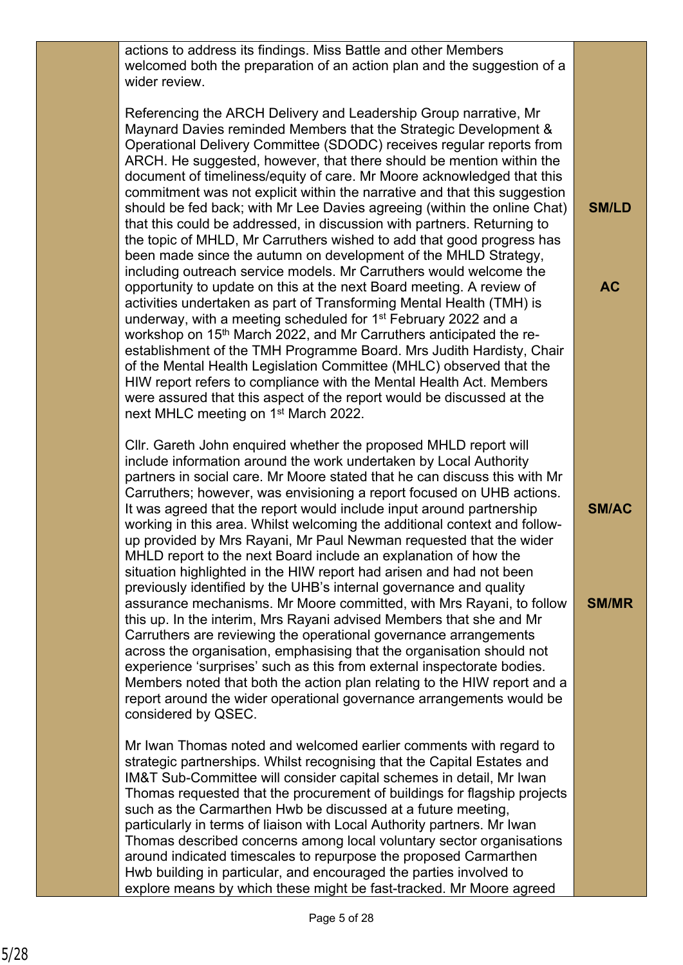actions to address its findings. Miss Battle and other Members welcomed both the preparation of an action plan and the suggestion of a wider review.

Referencing the ARCH Delivery and Leadership Group narrative, Mr Maynard Davies reminded Members that the Strategic Development & Operational Delivery Committee (SDODC) receives regular reports from ARCH. He suggested, however, that there should be mention within the document of timeliness/equity of care. Mr Moore acknowledged that this commitment was not explicit within the narrative and that this suggestion should be fed back; with Mr Lee Davies agreeing (within the online Chat) that this could be addressed, in discussion with partners. Returning to the topic of MHLD, Mr Carruthers wished to add that good progress has been made since the autumn on development of the MHLD Strategy, including outreach service models. Mr Carruthers would welcome the opportunity to update on this at the next Board meeting. A review of activities undertaken as part of Transforming Mental Health (TMH) is underway, with a meeting scheduled for 1st February 2022 and a workshop on 15<sup>th</sup> March 2022, and Mr Carruthers anticipated the reestablishment of the TMH Programme Board. Mrs Judith Hardisty, Chair of the Mental Health Legislation Committee (MHLC) observed that the HIW report refers to compliance with the Mental Health Act. Members were assured that this aspect of the report would be discussed at the next MHLC meeting on 1<sup>st</sup> March 2022.

**SM/LD**

**AC**

**SM/AC**

**SM/MR**

Cllr. Gareth John enquired whether the proposed MHLD report will include information around the work undertaken by Local Authority partners in social care. Mr Moore stated that he can discuss this with Mr Carruthers; however, was envisioning a report focused on UHB actions. It was agreed that the report would include input around partnership working in this area. Whilst welcoming the additional context and followup provided by Mrs Rayani, Mr Paul Newman requested that the wider MHLD report to the next Board include an explanation of how the situation highlighted in the HIW report had arisen and had not been previously identified by the UHB's internal governance and quality assurance mechanisms. Mr Moore committed, with Mrs Rayani, to follow this up. In the interim, Mrs Rayani advised Members that she and Mr Carruthers are reviewing the operational governance arrangements across the organisation, emphasising that the organisation should not experience 'surprises' such as this from external inspectorate bodies. Members noted that both the action plan relating to the HIW report and a report around the wider operational governance arrangements would be considered by QSEC.

Mr Iwan Thomas noted and welcomed earlier comments with regard to strategic partnerships. Whilst recognising that the Capital Estates and IM&T Sub-Committee will consider capital schemes in detail, Mr Iwan Thomas requested that the procurement of buildings for flagship projects such as the Carmarthen Hwb be discussed at a future meeting, particularly in terms of liaison with Local Authority partners. Mr Iwan Thomas described concerns among local voluntary sector organisations around indicated timescales to repurpose the proposed Carmarthen Hwb building in particular, and encouraged the parties involved to explore means by which these might be fast-tracked. Mr Moore agreed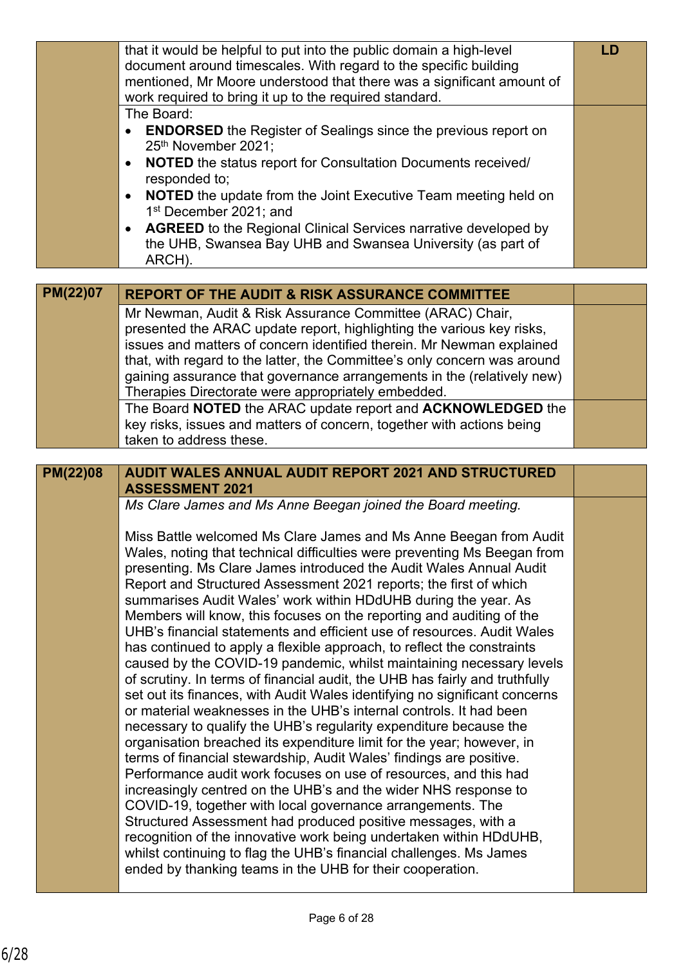|                 | that it would be helpful to put into the public domain a high-level<br>document around timescales. With regard to the specific building                      | <b>LD</b> |
|-----------------|--------------------------------------------------------------------------------------------------------------------------------------------------------------|-----------|
|                 | mentioned, Mr Moore understood that there was a significant amount of<br>work required to bring it up to the required standard.                              |           |
|                 | The Board:<br><b>ENDORSED</b> the Register of Sealings since the previous report on<br>25th November 2021;                                                   |           |
|                 | <b>NOTED</b> the status report for Consultation Documents received/<br>$\bullet$<br>responded to;                                                            |           |
|                 | <b>NOTED</b> the update from the Joint Executive Team meeting held on<br>$\bullet$<br>1 <sup>st</sup> December 2021; and                                     |           |
|                 | <b>AGREED</b> to the Regional Clinical Services narrative developed by<br>$\bullet$<br>the UHB, Swansea Bay UHB and Swansea University (as part of<br>ARCH). |           |
| <b>PM(22)07</b> |                                                                                                                                                              |           |
|                 | <b>REPORT OF THE AUDIT &amp; RISK ASSURANCE COMMITTEE</b><br>Mr Newman, Audit & Risk Assurance Committee (ARAC) Chair,                                       |           |
|                 | presented the ARAC update report, highlighting the various key risks,                                                                                        |           |
|                 | issues and matters of concern identified therein. Mr Newman explained                                                                                        |           |
|                 | that, with regard to the latter, the Committee's only concern was around                                                                                     |           |
|                 | gaining assurance that governance arrangements in the (relatively new)<br>Therapies Directorate were appropriately embedded.                                 |           |
|                 | The Board NOTED the ARAC update report and ACKNOWLEDGED the                                                                                                  |           |
|                 | key risks, issues and matters of concern, together with actions being                                                                                        |           |
|                 | taken to address these.                                                                                                                                      |           |
|                 |                                                                                                                                                              |           |
|                 | <b>AUDIT WALES ANNUAL AUDIT REPORT 2021 AND STRUCTURED</b>                                                                                                   |           |
| <b>PM(22)08</b> | <b>ASSESSMENT 2021</b>                                                                                                                                       |           |
|                 | Ms Clare James and Ms Anne Beegan joined the Board meeting.                                                                                                  |           |
|                 |                                                                                                                                                              |           |
|                 | Miss Battle welcomed Ms Clare James and Ms Anne Beegan from Audit                                                                                            |           |
|                 | Wales, noting that technical difficulties were preventing Ms Beegan from<br>presenting. Ms Clare James introduced the Audit Wales Annual Audit               |           |
|                 | Report and Structured Assessment 2021 reports; the first of which                                                                                            |           |
|                 | summarises Audit Wales' work within HDdUHB during the year. As                                                                                               |           |
|                 | Members will know, this focuses on the reporting and auditing of the                                                                                         |           |
|                 | UHB's financial statements and efficient use of resources. Audit Wales<br>has continued to apply a flexible approach, to reflect the constraints             |           |
|                 | caused by the COVID-19 pandemic, whilst maintaining necessary levels                                                                                         |           |
|                 | of scrutiny. In terms of financial audit, the UHB has fairly and truthfully                                                                                  |           |
|                 | set out its finances, with Audit Wales identifying no significant concerns                                                                                   |           |
|                 | or material weaknesses in the UHB's internal controls. It had been<br>necessary to qualify the UHB's regularity expenditure because the                      |           |
|                 | organisation breached its expenditure limit for the year; however, in                                                                                        |           |
|                 | terms of financial stewardship, Audit Wales' findings are positive.                                                                                          |           |
|                 | Performance audit work focuses on use of resources, and this had                                                                                             |           |
|                 | increasingly centred on the UHB's and the wider NHS response to                                                                                              |           |
|                 | COVID-19, together with local governance arrangements. The<br>Structured Assessment had produced positive messages, with a                                   |           |
|                 | recognition of the innovative work being undertaken within HDdUHB,                                                                                           |           |
|                 | whilst continuing to flag the UHB's financial challenges. Ms James<br>ended by thanking teams in the UHB for their cooperation.                              |           |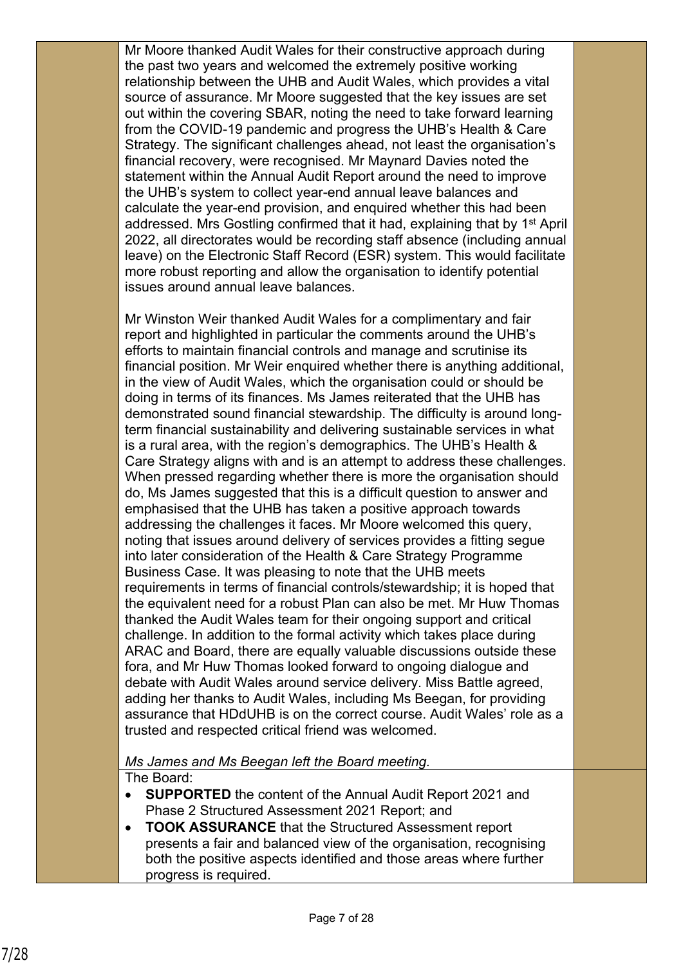Mr Moore thanked Audit Wales for their constructive approach during the past two years and welcomed the extremely positive working relationship between the UHB and Audit Wales, which provides a vital source of assurance. Mr Moore suggested that the key issues are set out within the covering SBAR, noting the need to take forward learning from the COVID-19 pandemic and progress the UHB's Health & Care Strategy. The significant challenges ahead, not least the organisation's financial recovery, were recognised. Mr Maynard Davies noted the statement within the Annual Audit Report around the need to improve the UHB's system to collect year-end annual leave balances and calculate the year-end provision, and enquired whether this had been addressed. Mrs Gostling confirmed that it had, explaining that by 1st April 2022, all directorates would be recording staff absence (including annual leave) on the Electronic Staff Record (ESR) system. This would facilitate more robust reporting and allow the organisation to identify potential issues around annual leave balances.

Mr Winston Weir thanked Audit Wales for a complimentary and fair report and highlighted in particular the comments around the UHB's efforts to maintain financial controls and manage and scrutinise its financial position. Mr Weir enquired whether there is anything additional, in the view of Audit Wales, which the organisation could or should be doing in terms of its finances. Ms James reiterated that the UHB has demonstrated sound financial stewardship. The difficulty is around longterm financial sustainability and delivering sustainable services in what is a rural area, with the region's demographics. The UHB's Health & Care Strategy aligns with and is an attempt to address these challenges. When pressed regarding whether there is more the organisation should do, Ms James suggested that this is a difficult question to answer and emphasised that the UHB has taken a positive approach towards addressing the challenges it faces. Mr Moore welcomed this query, noting that issues around delivery of services provides a fitting segue into later consideration of the Health & Care Strategy Programme Business Case. It was pleasing to note that the UHB meets requirements in terms of financial controls/stewardship; it is hoped that the equivalent need for a robust Plan can also be met. Mr Huw Thomas thanked the Audit Wales team for their ongoing support and critical challenge. In addition to the formal activity which takes place during ARAC and Board, there are equally valuable discussions outside these fora, and Mr Huw Thomas looked forward to ongoing dialogue and debate with Audit Wales around service delivery. Miss Battle agreed, adding her thanks to Audit Wales, including Ms Beegan, for providing assurance that HDdUHB is on the correct course. Audit Wales' role as a trusted and respected critical friend was welcomed.

*Ms James and Ms Beegan left the Board meeting.*

The Board:

- **SUPPORTED** the content of the Annual Audit Report 2021 and Phase 2 Structured Assessment 2021 Report; and
- **TOOK ASSURANCE** that the Structured Assessment report presents a fair and balanced view of the organisation, recognising both the positive aspects identified and those areas where further progress is required.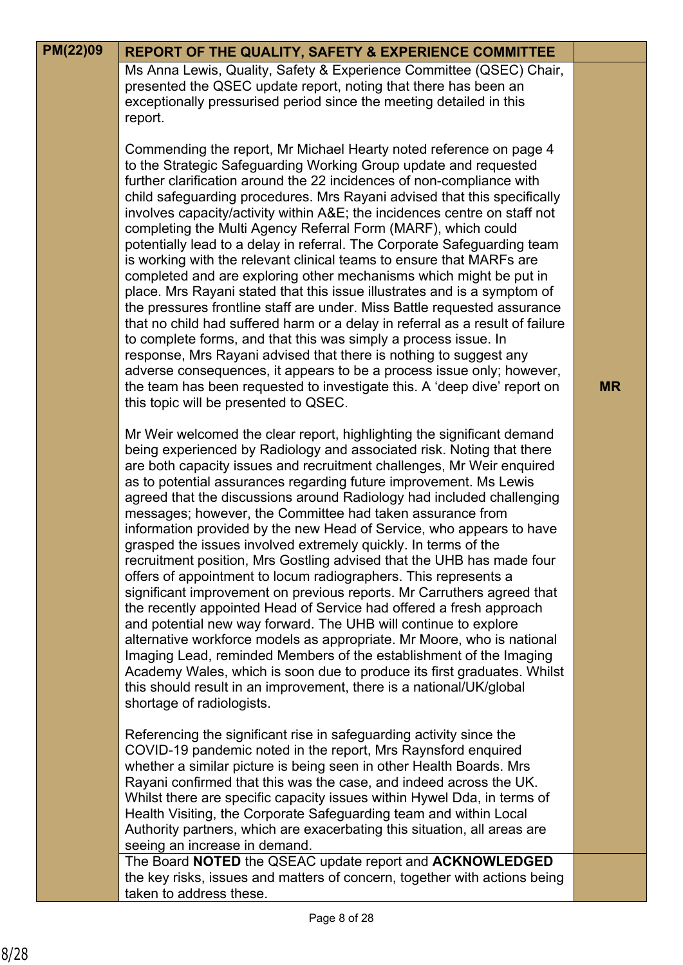| PM(22)09 | <b>REPORT OF THE QUALITY, SAFETY &amp; EXPERIENCE COMMITTEE</b>                                                                                                                                                                                                                                                                                                                                                                                                                                                                                                                                                                                                                                                                                                                                                                                                                                                                                                                                                                                                                                                                                                                                                                                                              |           |
|----------|------------------------------------------------------------------------------------------------------------------------------------------------------------------------------------------------------------------------------------------------------------------------------------------------------------------------------------------------------------------------------------------------------------------------------------------------------------------------------------------------------------------------------------------------------------------------------------------------------------------------------------------------------------------------------------------------------------------------------------------------------------------------------------------------------------------------------------------------------------------------------------------------------------------------------------------------------------------------------------------------------------------------------------------------------------------------------------------------------------------------------------------------------------------------------------------------------------------------------------------------------------------------------|-----------|
|          | Ms Anna Lewis, Quality, Safety & Experience Committee (QSEC) Chair,<br>presented the QSEC update report, noting that there has been an<br>exceptionally pressurised period since the meeting detailed in this<br>report.                                                                                                                                                                                                                                                                                                                                                                                                                                                                                                                                                                                                                                                                                                                                                                                                                                                                                                                                                                                                                                                     |           |
|          | Commending the report, Mr Michael Hearty noted reference on page 4<br>to the Strategic Safeguarding Working Group update and requested<br>further clarification around the 22 incidences of non-compliance with<br>child safeguarding procedures. Mrs Rayani advised that this specifically<br>involves capacity/activity within A&E the incidences centre on staff not<br>completing the Multi Agency Referral Form (MARF), which could<br>potentially lead to a delay in referral. The Corporate Safeguarding team<br>is working with the relevant clinical teams to ensure that MARFs are<br>completed and are exploring other mechanisms which might be put in<br>place. Mrs Rayani stated that this issue illustrates and is a symptom of<br>the pressures frontline staff are under. Miss Battle requested assurance<br>that no child had suffered harm or a delay in referral as a result of failure<br>to complete forms, and that this was simply a process issue. In<br>response, Mrs Rayani advised that there is nothing to suggest any<br>adverse consequences, it appears to be a process issue only; however,<br>the team has been requested to investigate this. A 'deep dive' report on<br>this topic will be presented to QSEC.                            | <b>MR</b> |
|          | Mr Weir welcomed the clear report, highlighting the significant demand<br>being experienced by Radiology and associated risk. Noting that there<br>are both capacity issues and recruitment challenges, Mr Weir enquired<br>as to potential assurances regarding future improvement. Ms Lewis<br>agreed that the discussions around Radiology had included challenging<br>messages; however, the Committee had taken assurance from<br>information provided by the new Head of Service, who appears to have<br>grasped the issues involved extremely quickly. In terms of the<br>recruitment position, Mrs Gostling advised that the UHB has made four<br>offers of appointment to locum radiographers. This represents a<br>significant improvement on previous reports. Mr Carruthers agreed that<br>the recently appointed Head of Service had offered a fresh approach<br>and potential new way forward. The UHB will continue to explore<br>alternative workforce models as appropriate. Mr Moore, who is national<br>Imaging Lead, reminded Members of the establishment of the Imaging<br>Academy Wales, which is soon due to produce its first graduates. Whilst<br>this should result in an improvement, there is a national/UK/global<br>shortage of radiologists. |           |
|          | Referencing the significant rise in safeguarding activity since the<br>COVID-19 pandemic noted in the report, Mrs Raynsford enquired<br>whether a similar picture is being seen in other Health Boards. Mrs<br>Rayani confirmed that this was the case, and indeed across the UK.<br>Whilst there are specific capacity issues within Hywel Dda, in terms of<br>Health Visiting, the Corporate Safeguarding team and within Local<br>Authority partners, which are exacerbating this situation, all areas are<br>seeing an increase in demand.                                                                                                                                                                                                                                                                                                                                                                                                                                                                                                                                                                                                                                                                                                                               |           |
|          | The Board NOTED the QSEAC update report and ACKNOWLEDGED<br>the key risks, issues and matters of concern, together with actions being<br>taken to address these.                                                                                                                                                                                                                                                                                                                                                                                                                                                                                                                                                                                                                                                                                                                                                                                                                                                                                                                                                                                                                                                                                                             |           |

**PM(22)00 PERSE**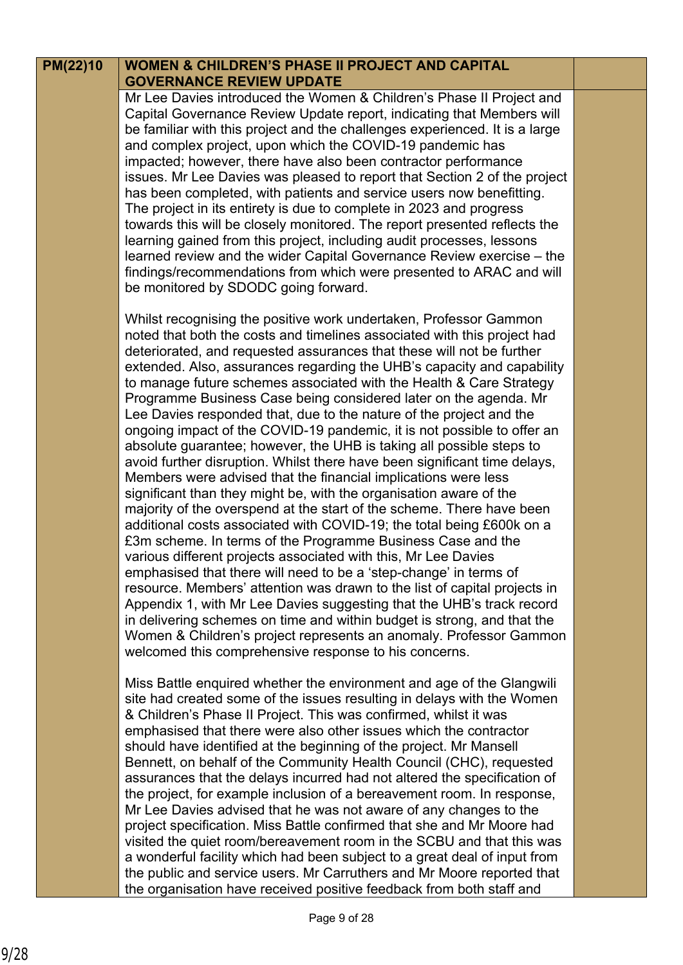## **PM(22)10**

### **WOMEN & CHILDREN'S PHASE II PROJECT AND CAPITAL GOVERNANCE REVIEW UPDATE**

Mr Lee Davies introduced the Women & Children's Phase II Project and Capital Governance Review Update report, indicating that Members will be familiar with this project and the challenges experienced. It is a large and complex project, upon which the COVID-19 pandemic has impacted; however, there have also been contractor performance issues. Mr Lee Davies was pleased to report that Section 2 of the project has been completed, with patients and service users now benefitting. The project in its entirety is due to complete in 2023 and progress towards this will be closely monitored. The report presented reflects the learning gained from this project, including audit processes, lessons learned review and the wider Capital Governance Review exercise – the findings/recommendations from which were presented to ARAC and will be monitored by SDODC going forward.

Whilst recognising the positive work undertaken, Professor Gammon noted that both the costs and timelines associated with this project had deteriorated, and requested assurances that these will not be further extended. Also, assurances regarding the UHB's capacity and capability to manage future schemes associated with the Health & Care Strategy Programme Business Case being considered later on the agenda. Mr Lee Davies responded that, due to the nature of the project and the ongoing impact of the COVID-19 pandemic, it is not possible to offer an absolute guarantee; however, the UHB is taking all possible steps to avoid further disruption. Whilst there have been significant time delays, Members were advised that the financial implications were less significant than they might be, with the organisation aware of the majority of the overspend at the start of the scheme. There have been additional costs associated with COVID-19; the total being £600k on a £3m scheme. In terms of the Programme Business Case and the various different projects associated with this, Mr Lee Davies emphasised that there will need to be a 'step-change' in terms of resource. Members' attention was drawn to the list of capital projects in Appendix 1, with Mr Lee Davies suggesting that the UHB's track record in delivering schemes on time and within budget is strong, and that the Women & Children's project represents an anomaly. Professor Gammon welcomed this comprehensive response to his concerns.

Miss Battle enquired whether the environment and age of the Glangwili site had created some of the issues resulting in delays with the Women & Children's Phase II Project. This was confirmed, whilst it was emphasised that there were also other issues which the contractor should have identified at the beginning of the project. Mr Mansell Bennett, on behalf of the Community Health Council (CHC), requested assurances that the delays incurred had not altered the specification of the project, for example inclusion of a bereavement room. In response, Mr Lee Davies advised that he was not aware of any changes to the project specification. Miss Battle confirmed that she and Mr Moore had visited the quiet room/bereavement room in the SCBU and that this was a wonderful facility which had been subject to a great deal of input from the public and service users. Mr Carruthers and Mr Moore reported that the organisation have received positive feedback from both staff and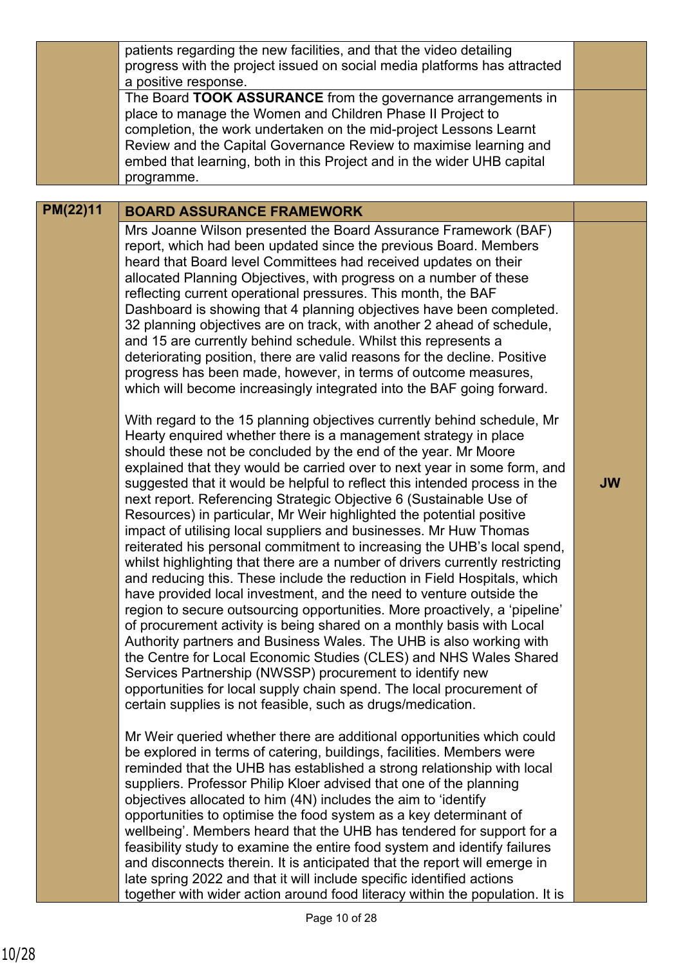|          | patients regarding the new facilities, and that the video detailing<br>progress with the project issued on social media platforms has attracted<br>a positive response.<br>The Board TOOK ASSURANCE from the governance arrangements in<br>place to manage the Women and Children Phase II Project to<br>completion, the work undertaken on the mid-project Lessons Learnt<br>Review and the Capital Governance Review to maximise learning and<br>embed that learning, both in this Project and in the wider UHB capital<br>programme.                                                                                                                                                                                                                                                                                                                                                                                                                                                                                                                                                                                                                                                                                                                                                                                                                                                                       |           |
|----------|---------------------------------------------------------------------------------------------------------------------------------------------------------------------------------------------------------------------------------------------------------------------------------------------------------------------------------------------------------------------------------------------------------------------------------------------------------------------------------------------------------------------------------------------------------------------------------------------------------------------------------------------------------------------------------------------------------------------------------------------------------------------------------------------------------------------------------------------------------------------------------------------------------------------------------------------------------------------------------------------------------------------------------------------------------------------------------------------------------------------------------------------------------------------------------------------------------------------------------------------------------------------------------------------------------------------------------------------------------------------------------------------------------------|-----------|
| PM(22)11 | <b>BOARD ASSURANCE FRAMEWORK</b>                                                                                                                                                                                                                                                                                                                                                                                                                                                                                                                                                                                                                                                                                                                                                                                                                                                                                                                                                                                                                                                                                                                                                                                                                                                                                                                                                                              |           |
|          | Mrs Joanne Wilson presented the Board Assurance Framework (BAF)<br>report, which had been updated since the previous Board. Members<br>heard that Board level Committees had received updates on their<br>allocated Planning Objectives, with progress on a number of these<br>reflecting current operational pressures. This month, the BAF<br>Dashboard is showing that 4 planning objectives have been completed.<br>32 planning objectives are on track, with another 2 ahead of schedule,<br>and 15 are currently behind schedule. Whilst this represents a<br>deteriorating position, there are valid reasons for the decline. Positive<br>progress has been made, however, in terms of outcome measures,<br>which will become increasingly integrated into the BAF going forward.                                                                                                                                                                                                                                                                                                                                                                                                                                                                                                                                                                                                                      |           |
|          | With regard to the 15 planning objectives currently behind schedule, Mr<br>Hearty enquired whether there is a management strategy in place<br>should these not be concluded by the end of the year. Mr Moore<br>explained that they would be carried over to next year in some form, and<br>suggested that it would be helpful to reflect this intended process in the<br>next report. Referencing Strategic Objective 6 (Sustainable Use of<br>Resources) in particular, Mr Weir highlighted the potential positive<br>impact of utilising local suppliers and businesses. Mr Huw Thomas<br>reiterated his personal commitment to increasing the UHB's local spend,<br>whilst highlighting that there are a number of drivers currently restricting<br>and reducing this. These include the reduction in Field Hospitals, which<br>have provided local investment, and the need to venture outside the<br>region to secure outsourcing opportunities. More proactively, a 'pipeline'<br>of procurement activity is being shared on a monthly basis with Local<br>Authority partners and Business Wales. The UHB is also working with<br>the Centre for Local Economic Studies (CLES) and NHS Wales Shared<br>Services Partnership (NWSSP) procurement to identify new<br>opportunities for local supply chain spend. The local procurement of<br>certain supplies is not feasible, such as drugs/medication. | <b>JW</b> |
|          | Mr Weir queried whether there are additional opportunities which could<br>be explored in terms of catering, buildings, facilities. Members were<br>reminded that the UHB has established a strong relationship with local<br>suppliers. Professor Philip Kloer advised that one of the planning<br>objectives allocated to him (4N) includes the aim to 'identify<br>opportunities to optimise the food system as a key determinant of<br>wellbeing'. Members heard that the UHB has tendered for support for a<br>feasibility study to examine the entire food system and identify failures<br>and disconnects therein. It is anticipated that the report will emerge in<br>late spring 2022 and that it will include specific identified actions<br>together with wider action around food literacy within the population. It is                                                                                                                                                                                                                                                                                                                                                                                                                                                                                                                                                                            |           |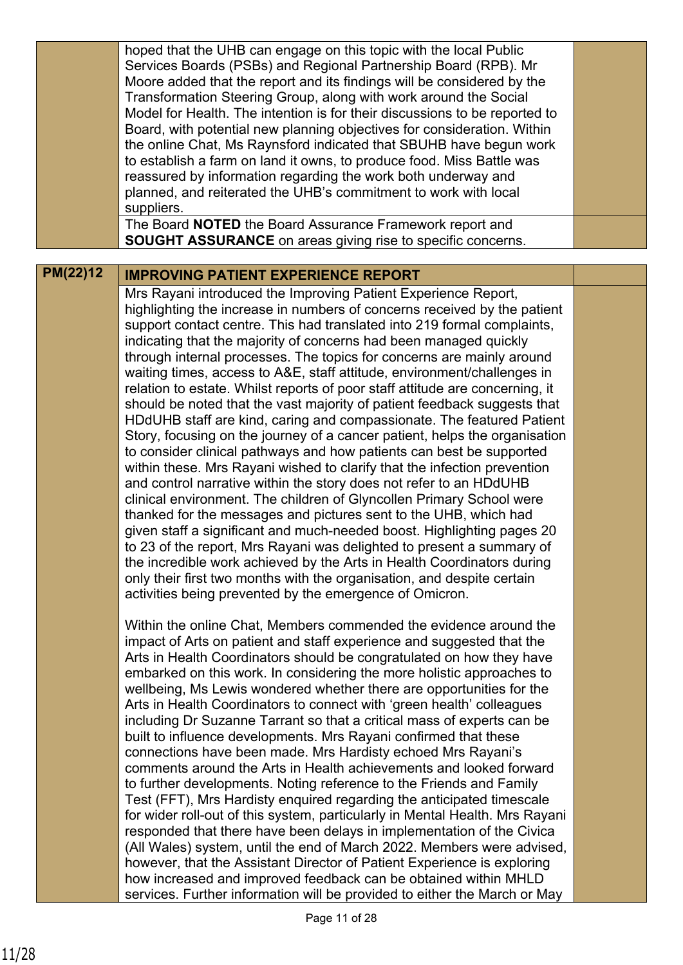|                 | hoped that the UHB can engage on this topic with the local Public<br>Services Boards (PSBs) and Regional Partnership Board (RPB). Mr<br>Moore added that the report and its findings will be considered by the<br>Transformation Steering Group, along with work around the Social<br>Model for Health. The intention is for their discussions to be reported to<br>Board, with potential new planning objectives for consideration. Within<br>the online Chat, Ms Raynsford indicated that SBUHB have begun work<br>to establish a farm on land it owns, to produce food. Miss Battle was<br>reassured by information regarding the work both underway and                                                                                                                                                                                                                                                                                                                                                                                                                                                                                                                                                                                                                                                                                                                                                                                                                                               |  |
|-----------------|-----------------------------------------------------------------------------------------------------------------------------------------------------------------------------------------------------------------------------------------------------------------------------------------------------------------------------------------------------------------------------------------------------------------------------------------------------------------------------------------------------------------------------------------------------------------------------------------------------------------------------------------------------------------------------------------------------------------------------------------------------------------------------------------------------------------------------------------------------------------------------------------------------------------------------------------------------------------------------------------------------------------------------------------------------------------------------------------------------------------------------------------------------------------------------------------------------------------------------------------------------------------------------------------------------------------------------------------------------------------------------------------------------------------------------------------------------------------------------------------------------------|--|
|                 | planned, and reiterated the UHB's commitment to work with local<br>suppliers.<br>The Board NOTED the Board Assurance Framework report and                                                                                                                                                                                                                                                                                                                                                                                                                                                                                                                                                                                                                                                                                                                                                                                                                                                                                                                                                                                                                                                                                                                                                                                                                                                                                                                                                                 |  |
|                 | <b>SOUGHT ASSURANCE</b> on areas giving rise to specific concerns.                                                                                                                                                                                                                                                                                                                                                                                                                                                                                                                                                                                                                                                                                                                                                                                                                                                                                                                                                                                                                                                                                                                                                                                                                                                                                                                                                                                                                                        |  |
| <b>PM(22)12</b> | <b>IMPROVING PATIENT EXPERIENCE REPORT</b>                                                                                                                                                                                                                                                                                                                                                                                                                                                                                                                                                                                                                                                                                                                                                                                                                                                                                                                                                                                                                                                                                                                                                                                                                                                                                                                                                                                                                                                                |  |
|                 | Mrs Rayani introduced the Improving Patient Experience Report,<br>highlighting the increase in numbers of concerns received by the patient<br>support contact centre. This had translated into 219 formal complaints,<br>indicating that the majority of concerns had been managed quickly<br>through internal processes. The topics for concerns are mainly around<br>waiting times, access to A&E, staff attitude, environment/challenges in<br>relation to estate. Whilst reports of poor staff attitude are concerning, it<br>should be noted that the vast majority of patient feedback suggests that<br>HDdUHB staff are kind, caring and compassionate. The featured Patient<br>Story, focusing on the journey of a cancer patient, helps the organisation<br>to consider clinical pathways and how patients can best be supported<br>within these. Mrs Rayani wished to clarify that the infection prevention<br>and control narrative within the story does not refer to an HDdUHB<br>clinical environment. The children of Glyncollen Primary School were<br>thanked for the messages and pictures sent to the UHB, which had<br>given staff a significant and much-needed boost. Highlighting pages 20<br>to 23 of the report, Mrs Rayani was delighted to present a summary of<br>the incredible work achieved by the Arts in Health Coordinators during<br>only their first two months with the organisation, and despite certain<br>activities being prevented by the emergence of Omicron. |  |
|                 | Within the online Chat, Members commended the evidence around the<br>impact of Arts on patient and staff experience and suggested that the<br>Arts in Health Coordinators should be congratulated on how they have<br>embarked on this work. In considering the more holistic approaches to<br>wellbeing, Ms Lewis wondered whether there are opportunities for the<br>Arts in Health Coordinators to connect with 'green health' colleagues<br>including Dr Suzanne Tarrant so that a critical mass of experts can be<br>built to influence developments. Mrs Rayani confirmed that these<br>connections have been made. Mrs Hardisty echoed Mrs Rayani's<br>comments around the Arts in Health achievements and looked forward<br>to further developments. Noting reference to the Friends and Family<br>Test (FFT), Mrs Hardisty enquired regarding the anticipated timescale<br>for wider roll-out of this system, particularly in Mental Health. Mrs Rayani<br>responded that there have been delays in implementation of the Civica<br>(All Wales) system, until the end of March 2022. Members were advised,<br>however, that the Assistant Director of Patient Experience is exploring<br>how increased and improved feedback can be obtained within MHLD<br>services. Further information will be provided to either the March or May                                                                                                                                                            |  |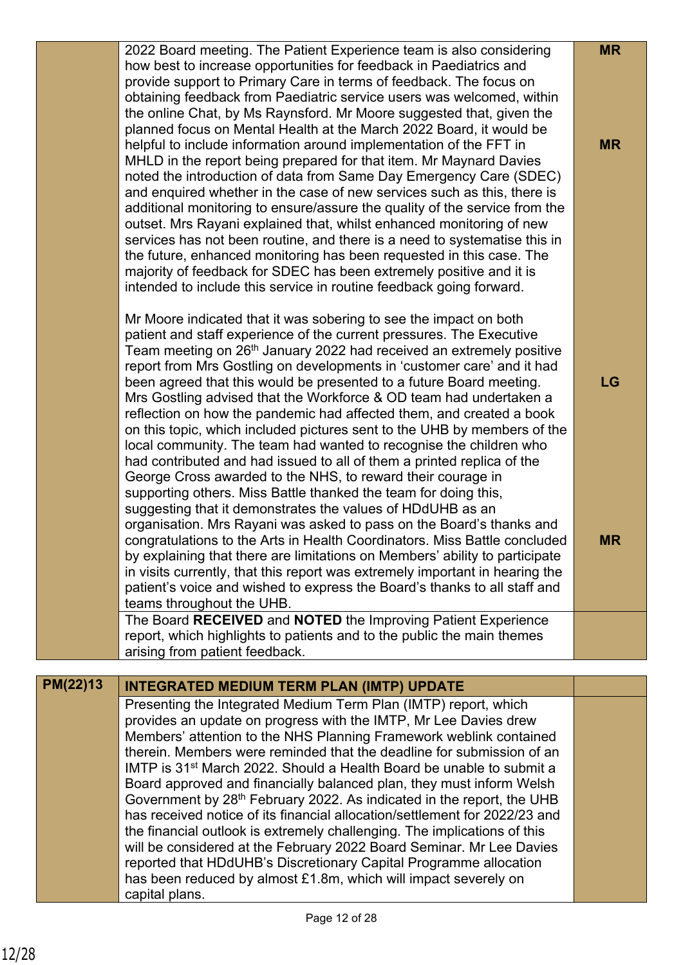|          | 2022 Board meeting. The Patient Experience team is also considering<br>how best to increase opportunities for feedback in Paediatrics and<br>provide support to Primary Care in terms of feedback. The focus on<br>obtaining feedback from Paediatric service users was welcomed, within<br>the online Chat, by Ms Raynsford. Mr Moore suggested that, given the<br>planned focus on Mental Health at the March 2022 Board, it would be<br>helpful to include information around implementation of the FFT in<br>MHLD in the report being prepared for that item. Mr Maynard Davies<br>noted the introduction of data from Same Day Emergency Care (SDEC)<br>and enquired whether in the case of new services such as this, there is<br>additional monitoring to ensure/assure the quality of the service from the<br>outset. Mrs Rayani explained that, whilst enhanced monitoring of new<br>services has not been routine, and there is a need to systematise this in<br>the future, enhanced monitoring has been requested in this case. The<br>majority of feedback for SDEC has been extremely positive and it is<br>intended to include this service in routine feedback going forward.                                                                                                                                                                                          | <b>MR</b><br><b>MR</b> |
|----------|----------------------------------------------------------------------------------------------------------------------------------------------------------------------------------------------------------------------------------------------------------------------------------------------------------------------------------------------------------------------------------------------------------------------------------------------------------------------------------------------------------------------------------------------------------------------------------------------------------------------------------------------------------------------------------------------------------------------------------------------------------------------------------------------------------------------------------------------------------------------------------------------------------------------------------------------------------------------------------------------------------------------------------------------------------------------------------------------------------------------------------------------------------------------------------------------------------------------------------------------------------------------------------------------------------------------------------------------------------------------------------------|------------------------|
|          | Mr Moore indicated that it was sobering to see the impact on both<br>patient and staff experience of the current pressures. The Executive<br>Team meeting on 26 <sup>th</sup> January 2022 had received an extremely positive<br>report from Mrs Gostling on developments in 'customer care' and it had<br>been agreed that this would be presented to a future Board meeting.<br>Mrs Gostling advised that the Workforce & OD team had undertaken a<br>reflection on how the pandemic had affected them, and created a book<br>on this topic, which included pictures sent to the UHB by members of the<br>local community. The team had wanted to recognise the children who<br>had contributed and had issued to all of them a printed replica of the<br>George Cross awarded to the NHS, to reward their courage in<br>supporting others. Miss Battle thanked the team for doing this,<br>suggesting that it demonstrates the values of HDdUHB as an<br>organisation. Mrs Rayani was asked to pass on the Board's thanks and<br>congratulations to the Arts in Health Coordinators. Miss Battle concluded<br>by explaining that there are limitations on Members' ability to participate<br>in visits currently, that this report was extremely important in hearing the<br>patient's voice and wished to express the Board's thanks to all staff and<br>teams throughout the UHB. | <b>LG</b><br><b>MR</b> |
|          | The Board RECEIVED and NOTED the Improving Patient Experience<br>report, which highlights to patients and to the public the main themes<br>arising from patient feedback.                                                                                                                                                                                                                                                                                                                                                                                                                                                                                                                                                                                                                                                                                                                                                                                                                                                                                                                                                                                                                                                                                                                                                                                                              |                        |
| PM(22)13 |                                                                                                                                                                                                                                                                                                                                                                                                                                                                                                                                                                                                                                                                                                                                                                                                                                                                                                                                                                                                                                                                                                                                                                                                                                                                                                                                                                                        |                        |
|          | <b>INTEGRATED MEDIUM TERM PLAN (IMTP) UPDATE</b><br>Presenting the Integrated Medium Term Plan (IMTP) report, which                                                                                                                                                                                                                                                                                                                                                                                                                                                                                                                                                                                                                                                                                                                                                                                                                                                                                                                                                                                                                                                                                                                                                                                                                                                                    |                        |
|          | provides an update on progress with the IMTP, Mr Lee Davies drew<br>Members' attention to the NHS Planning Framework weblink contained<br>therein. Members were reminded that the deadline for submission of an<br>IMTP is 31 <sup>st</sup> March 2022. Should a Health Board be unable to submit a<br>Board approved and financially balanced plan, they must inform Welsh<br>Government by 28 <sup>th</sup> February 2022. As indicated in the report, the UHB<br>has received notice of its financial allocation/settlement for 2022/23 and<br>the financial outlook is extremely challenging. The implications of this<br>will be considered at the February 2022 Board Seminar. Mr Lee Davies<br>reported that HDdUHB's Discretionary Capital Programme allocation<br>has been reduced by almost £1.8m, which will impact severely on<br>capital plans.                                                                                                                                                                                                                                                                                                                                                                                                                                                                                                                           |                        |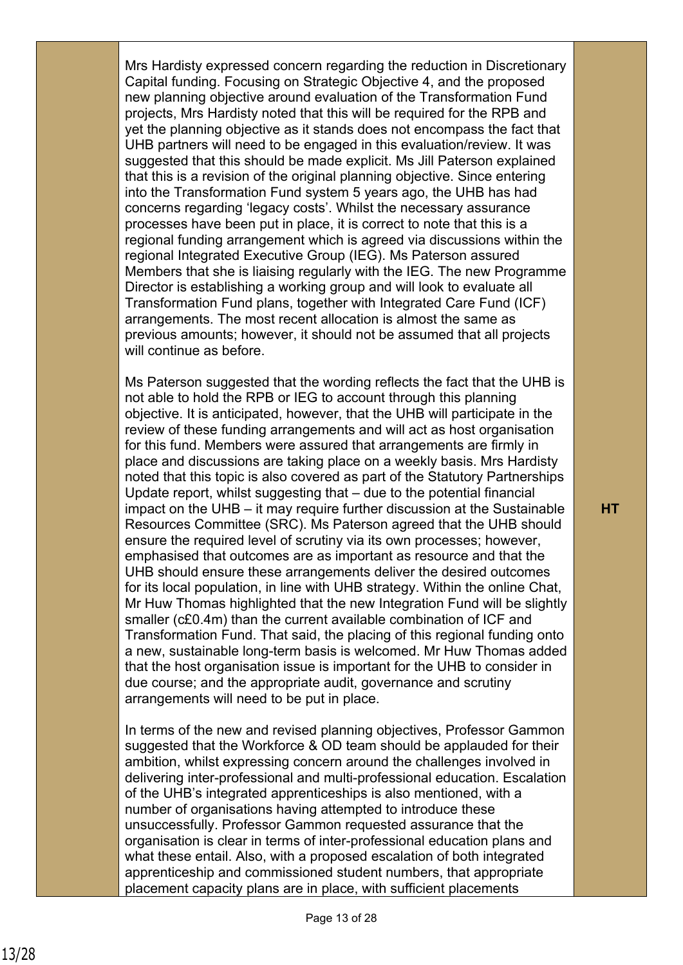Mrs Hardisty expressed concern regarding the reduction in Discretionary Capital funding. Focusing on Strategic Objective 4, and the proposed new planning objective around evaluation of the Transformation Fund projects, Mrs Hardisty noted that this will be required for the RPB and yet the planning objective as it stands does not encompass the fact that UHB partners will need to be engaged in this evaluation/review. It was suggested that this should be made explicit. Ms Jill Paterson explained that this is a revision of the original planning objective. Since entering into the Transformation Fund system 5 years ago, the UHB has had concerns regarding 'legacy costs'. Whilst the necessary assurance processes have been put in place, it is correct to note that this is a regional funding arrangement which is agreed via discussions within the regional Integrated Executive Group (IEG). Ms Paterson assured Members that she is liaising regularly with the IEG. The new Programme Director is establishing a working group and will look to evaluate all Transformation Fund plans, together with Integrated Care Fund (ICF) arrangements. The most recent allocation is almost the same as previous amounts; however, it should not be assumed that all projects will continue as before.

Ms Paterson suggested that the wording reflects the fact that the UHB is not able to hold the RPB or IEG to account through this planning objective. It is anticipated, however, that the UHB will participate in the review of these funding arrangements and will act as host organisation for this fund. Members were assured that arrangements are firmly in place and discussions are taking place on a weekly basis. Mrs Hardisty noted that this topic is also covered as part of the Statutory Partnerships Update report, whilst suggesting that – due to the potential financial impact on the UHB – it may require further discussion at the Sustainable Resources Committee (SRC). Ms Paterson agreed that the UHB should ensure the required level of scrutiny via its own processes; however, emphasised that outcomes are as important as resource and that the UHB should ensure these arrangements deliver the desired outcomes for its local population, in line with UHB strategy. Within the online Chat, Mr Huw Thomas highlighted that the new Integration Fund will be slightly smaller (c£0.4m) than the current available combination of ICF and Transformation Fund. That said, the placing of this regional funding onto a new, sustainable long-term basis is welcomed. Mr Huw Thomas added that the host organisation issue is important for the UHB to consider in due course; and the appropriate audit, governance and scrutiny arrangements will need to be put in place.

In terms of the new and revised planning objectives, Professor Gammon suggested that the Workforce & OD team should be applauded for their ambition, whilst expressing concern around the challenges involved in delivering inter-professional and multi-professional education. Escalation of the UHB's integrated apprenticeships is also mentioned, with a number of organisations having attempted to introduce these unsuccessfully. Professor Gammon requested assurance that the organisation is clear in terms of inter-professional education plans and what these entail. Also, with a proposed escalation of both integrated apprenticeship and commissioned student numbers, that appropriate placement capacity plans are in place, with sufficient placements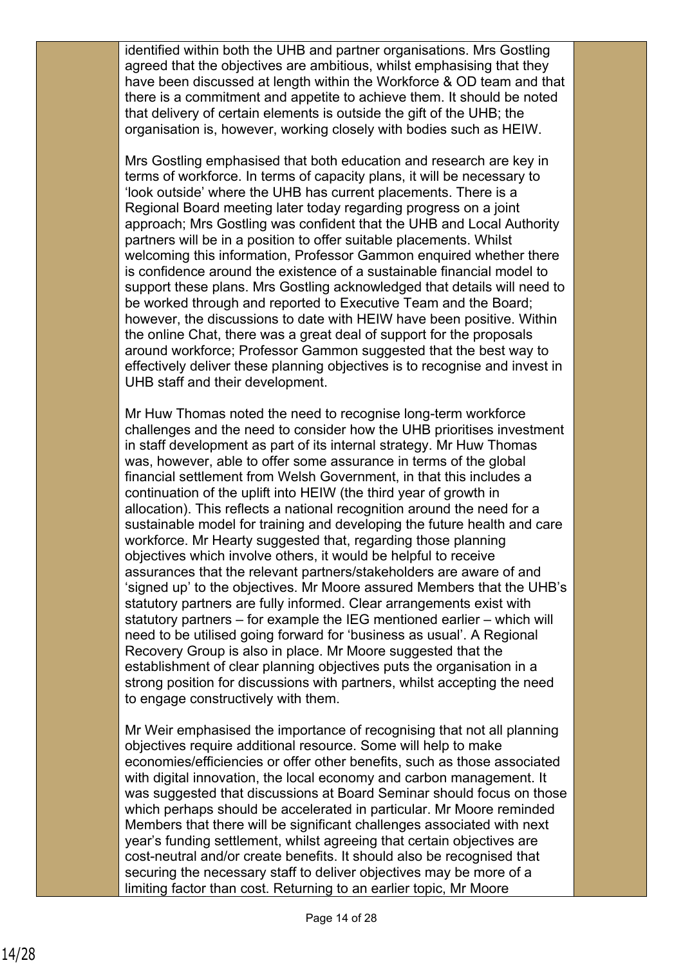identified within both the UHB and partner organisations. Mrs Gostling agreed that the objectives are ambitious, whilst emphasising that they have been discussed at length within the Workforce & OD team and that there is a commitment and appetite to achieve them. It should be noted that delivery of certain elements is outside the gift of the UHB; the organisation is, however, working closely with bodies such as HEIW.

Mrs Gostling emphasised that both education and research are key in terms of workforce. In terms of capacity plans, it will be necessary to 'look outside' where the UHB has current placements. There is a Regional Board meeting later today regarding progress on a joint approach; Mrs Gostling was confident that the UHB and Local Authority partners will be in a position to offer suitable placements. Whilst welcoming this information, Professor Gammon enquired whether there is confidence around the existence of a sustainable financial model to support these plans. Mrs Gostling acknowledged that details will need to be worked through and reported to Executive Team and the Board; however, the discussions to date with HEIW have been positive. Within the online Chat, there was a great deal of support for the proposals around workforce; Professor Gammon suggested that the best way to effectively deliver these planning objectives is to recognise and invest in UHB staff and their development.

Mr Huw Thomas noted the need to recognise long-term workforce challenges and the need to consider how the UHB prioritises investment in staff development as part of its internal strategy. Mr Huw Thomas was, however, able to offer some assurance in terms of the global financial settlement from Welsh Government, in that this includes a continuation of the uplift into HEIW (the third year of growth in allocation). This reflects a national recognition around the need for a sustainable model for training and developing the future health and care workforce. Mr Hearty suggested that, regarding those planning objectives which involve others, it would be helpful to receive assurances that the relevant partners/stakeholders are aware of and 'signed up' to the objectives. Mr Moore assured Members that the UHB's statutory partners are fully informed. Clear arrangements exist with statutory partners – for example the IEG mentioned earlier – which will need to be utilised going forward for 'business as usual'. A Regional Recovery Group is also in place. Mr Moore suggested that the establishment of clear planning objectives puts the organisation in a strong position for discussions with partners, whilst accepting the need to engage constructively with them.

Mr Weir emphasised the importance of recognising that not all planning objectives require additional resource. Some will help to make economies/efficiencies or offer other benefits, such as those associated with digital innovation, the local economy and carbon management. It was suggested that discussions at Board Seminar should focus on those which perhaps should be accelerated in particular. Mr Moore reminded Members that there will be significant challenges associated with next year's funding settlement, whilst agreeing that certain objectives are cost-neutral and/or create benefits. It should also be recognised that securing the necessary staff to deliver objectives may be more of a limiting factor than cost. Returning to an earlier topic, Mr Moore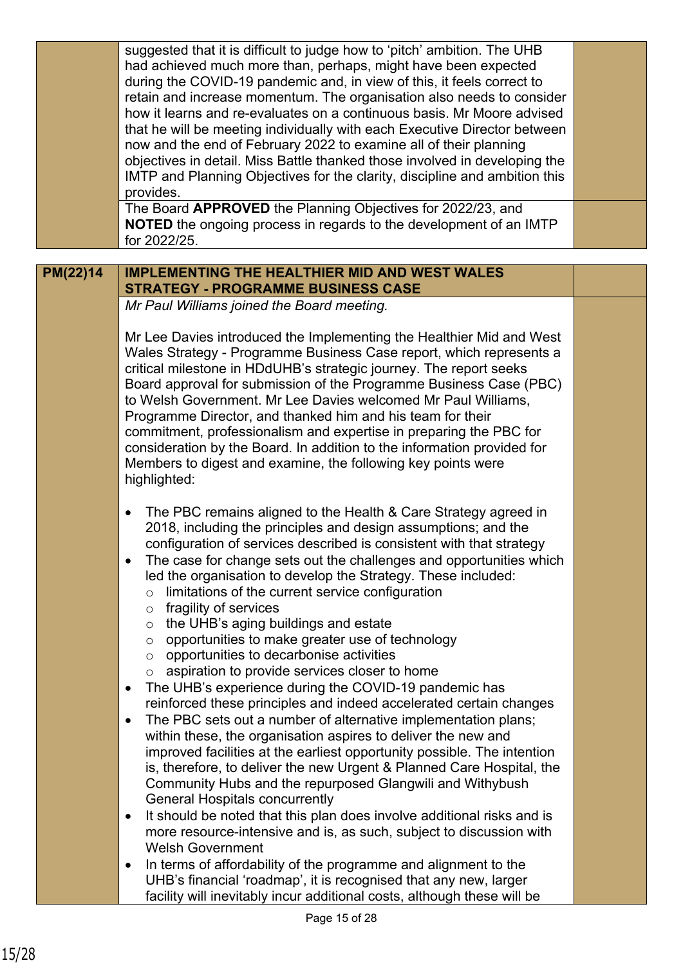|          | suggested that it is difficult to judge how to 'pitch' ambition. The UHB                                                                        |  |
|----------|-------------------------------------------------------------------------------------------------------------------------------------------------|--|
|          | had achieved much more than, perhaps, might have been expected                                                                                  |  |
|          | during the COVID-19 pandemic and, in view of this, it feels correct to                                                                          |  |
|          | retain and increase momentum. The organisation also needs to consider<br>how it learns and re-evaluates on a continuous basis. Mr Moore advised |  |
|          | that he will be meeting individually with each Executive Director between                                                                       |  |
|          | now and the end of February 2022 to examine all of their planning                                                                               |  |
|          | objectives in detail. Miss Battle thanked those involved in developing the                                                                      |  |
|          | IMTP and Planning Objectives for the clarity, discipline and ambition this                                                                      |  |
|          | provides.                                                                                                                                       |  |
|          | The Board APPROVED the Planning Objectives for 2022/23, and                                                                                     |  |
|          | NOTED the ongoing process in regards to the development of an IMTP                                                                              |  |
|          | for 2022/25.                                                                                                                                    |  |
|          |                                                                                                                                                 |  |
| PM(22)14 | <b>IMPLEMENTING THE HEALTHIER MID AND WEST WALES</b>                                                                                            |  |
|          | <b>STRATEGY - PROGRAMME BUSINESS CASE</b>                                                                                                       |  |
|          | Mr Paul Williams joined the Board meeting.                                                                                                      |  |
|          |                                                                                                                                                 |  |
|          | Mr Lee Davies introduced the Implementing the Healthier Mid and West                                                                            |  |
|          | Wales Strategy - Programme Business Case report, which represents a                                                                             |  |
|          | critical milestone in HDdUHB's strategic journey. The report seeks                                                                              |  |
|          | Board approval for submission of the Programme Business Case (PBC)                                                                              |  |
|          | to Welsh Government. Mr Lee Davies welcomed Mr Paul Williams,                                                                                   |  |
|          | Programme Director, and thanked him and his team for their                                                                                      |  |
|          | commitment, professionalism and expertise in preparing the PBC for                                                                              |  |
|          | consideration by the Board. In addition to the information provided for                                                                         |  |
|          | Members to digest and examine, the following key points were                                                                                    |  |
|          | highlighted:                                                                                                                                    |  |
|          | The PBC remains aligned to the Health & Care Strategy agreed in<br>$\bullet$                                                                    |  |
|          | 2018, including the principles and design assumptions; and the                                                                                  |  |
|          | configuration of services described is consistent with that strategy                                                                            |  |
|          | The case for change sets out the challenges and opportunities which                                                                             |  |
|          | led the organisation to develop the Strategy. These included:                                                                                   |  |
|          | limitations of the current service configuration<br>$\circ$                                                                                     |  |
|          | fragility of services<br>$\circ$                                                                                                                |  |
|          | the UHB's aging buildings and estate<br>$\circ$                                                                                                 |  |
|          | opportunities to make greater use of technology<br>$\circ$                                                                                      |  |
|          | opportunities to decarbonise activities<br>$\circ$                                                                                              |  |
|          | aspiration to provide services closer to home<br>$\circ$                                                                                        |  |
|          | The UHB's experience during the COVID-19 pandemic has<br>$\bullet$                                                                              |  |
|          | reinforced these principles and indeed accelerated certain changes                                                                              |  |
|          | The PBC sets out a number of alternative implementation plans;<br>$\bullet$                                                                     |  |
|          | within these, the organisation aspires to deliver the new and                                                                                   |  |
|          | improved facilities at the earliest opportunity possible. The intention                                                                         |  |
|          | is, therefore, to deliver the new Urgent & Planned Care Hospital, the                                                                           |  |
|          | Community Hubs and the repurposed Glangwili and Withybush                                                                                       |  |
|          | <b>General Hospitals concurrently</b>                                                                                                           |  |
|          | It should be noted that this plan does involve additional risks and is<br>٠                                                                     |  |
|          | more resource-intensive and is, as such, subject to discussion with                                                                             |  |
|          | <b>Welsh Government</b>                                                                                                                         |  |
|          | In terms of affordability of the programme and alignment to the<br>٠                                                                            |  |
|          | UHB's financial 'roadmap', it is recognised that any new, larger                                                                                |  |
|          | facility will inevitably incur additional costs, although these will be                                                                         |  |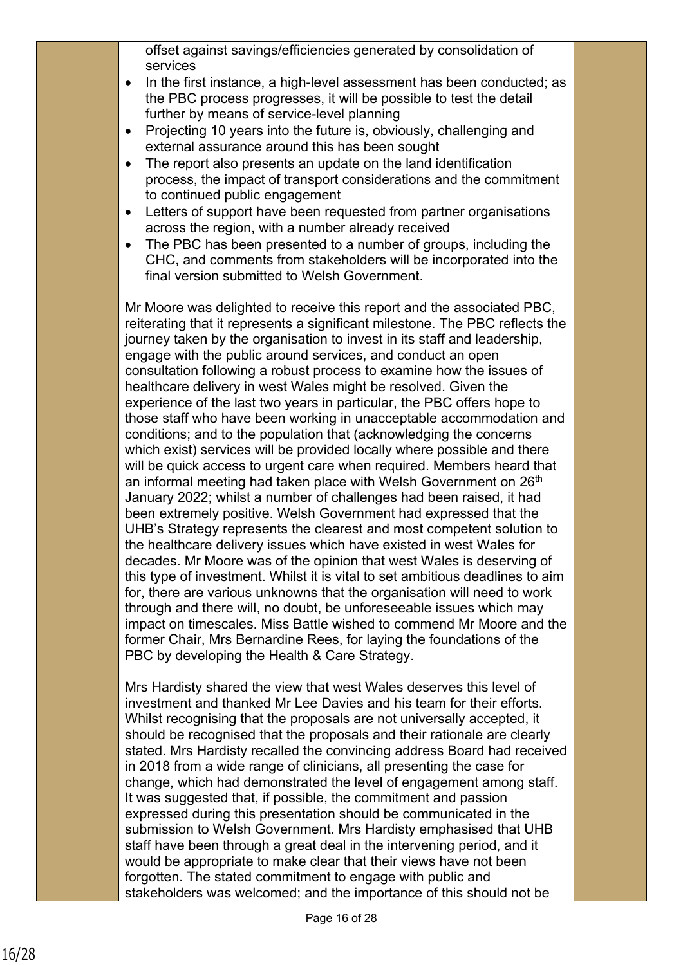offset against savings/efficiencies generated by consolidation of services

- In the first instance, a high-level assessment has been conducted; as the PBC process progresses, it will be possible to test the detail further by means of service-level planning
- Projecting 10 years into the future is, obviously, challenging and external assurance around this has been sought
- The report also presents an update on the land identification process, the impact of transport considerations and the commitment to continued public engagement
- Letters of support have been requested from partner organisations across the region, with a number already received
- The PBC has been presented to a number of groups, including the CHC, and comments from stakeholders will be incorporated into the final version submitted to Welsh Government.

Mr Moore was delighted to receive this report and the associated PBC, reiterating that it represents a significant milestone. The PBC reflects the journey taken by the organisation to invest in its staff and leadership, engage with the public around services, and conduct an open consultation following a robust process to examine how the issues of healthcare delivery in west Wales might be resolved. Given the experience of the last two years in particular, the PBC offers hope to those staff who have been working in unacceptable accommodation and conditions; and to the population that (acknowledging the concerns which exist) services will be provided locally where possible and there will be quick access to urgent care when required. Members heard that an informal meeting had taken place with Welsh Government on 26<sup>th</sup> January 2022; whilst a number of challenges had been raised, it had been extremely positive. Welsh Government had expressed that the UHB's Strategy represents the clearest and most competent solution to the healthcare delivery issues which have existed in west Wales for decades. Mr Moore was of the opinion that west Wales is deserving of this type of investment. Whilst it is vital to set ambitious deadlines to aim for, there are various unknowns that the organisation will need to work through and there will, no doubt, be unforeseeable issues which may impact on timescales. Miss Battle wished to commend Mr Moore and the former Chair, Mrs Bernardine Rees, for laying the foundations of the PBC by developing the Health & Care Strategy.

Mrs Hardisty shared the view that west Wales deserves this level of investment and thanked Mr Lee Davies and his team for their efforts. Whilst recognising that the proposals are not universally accepted, it should be recognised that the proposals and their rationale are clearly stated. Mrs Hardisty recalled the convincing address Board had received in 2018 from a wide range of clinicians, all presenting the case for change, which had demonstrated the level of engagement among staff. It was suggested that, if possible, the commitment and passion expressed during this presentation should be communicated in the submission to Welsh Government. Mrs Hardisty emphasised that UHB staff have been through a great deal in the intervening period, and it would be appropriate to make clear that their views have not been forgotten. The stated commitment to engage with public and stakeholders was welcomed; and the importance of this should not be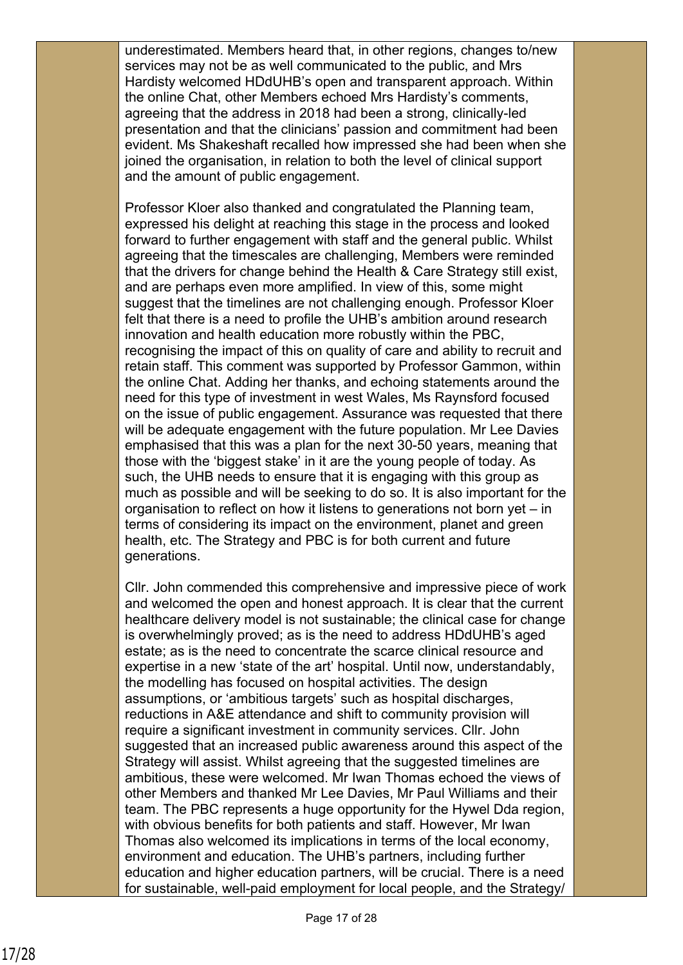underestimated. Members heard that, in other regions, changes to/new services may not be as well communicated to the public, and Mrs Hardisty welcomed HDdUHB's open and transparent approach. Within the online Chat, other Members echoed Mrs Hardisty's comments, agreeing that the address in 2018 had been a strong, clinically-led presentation and that the clinicians' passion and commitment had been evident. Ms Shakeshaft recalled how impressed she had been when she joined the organisation, in relation to both the level of clinical support and the amount of public engagement.

Professor Kloer also thanked and congratulated the Planning team, expressed his delight at reaching this stage in the process and looked forward to further engagement with staff and the general public. Whilst agreeing that the timescales are challenging, Members were reminded that the drivers for change behind the Health & Care Strategy still exist, and are perhaps even more amplified. In view of this, some might suggest that the timelines are not challenging enough. Professor Kloer felt that there is a need to profile the UHB's ambition around research innovation and health education more robustly within the PBC, recognising the impact of this on quality of care and ability to recruit and retain staff. This comment was supported by Professor Gammon, within the online Chat. Adding her thanks, and echoing statements around the need for this type of investment in west Wales, Ms Raynsford focused on the issue of public engagement. Assurance was requested that there will be adequate engagement with the future population. Mr Lee Davies emphasised that this was a plan for the next 30-50 years, meaning that those with the 'biggest stake' in it are the young people of today. As such, the UHB needs to ensure that it is engaging with this group as much as possible and will be seeking to do so. It is also important for the organisation to reflect on how it listens to generations not born yet – in terms of considering its impact on the environment, planet and green health, etc. The Strategy and PBC is for both current and future generations.

Cllr. John commended this comprehensive and impressive piece of work and welcomed the open and honest approach. It is clear that the current healthcare delivery model is not sustainable; the clinical case for change is overwhelmingly proved; as is the need to address HDdUHB's aged estate; as is the need to concentrate the scarce clinical resource and expertise in a new 'state of the art' hospital. Until now, understandably, the modelling has focused on hospital activities. The design assumptions, or 'ambitious targets' such as hospital discharges, reductions in A&E attendance and shift to community provision will require a significant investment in community services. Cllr. John suggested that an increased public awareness around this aspect of the Strategy will assist. Whilst agreeing that the suggested timelines are ambitious, these were welcomed. Mr Iwan Thomas echoed the views of other Members and thanked Mr Lee Davies, Mr Paul Williams and their team. The PBC represents a huge opportunity for the Hywel Dda region, with obvious benefits for both patients and staff. However, Mr Iwan Thomas also welcomed its implications in terms of the local economy, environment and education. The UHB's partners, including further education and higher education partners, will be crucial. There is a need for sustainable, well-paid employment for local people, and the Strategy/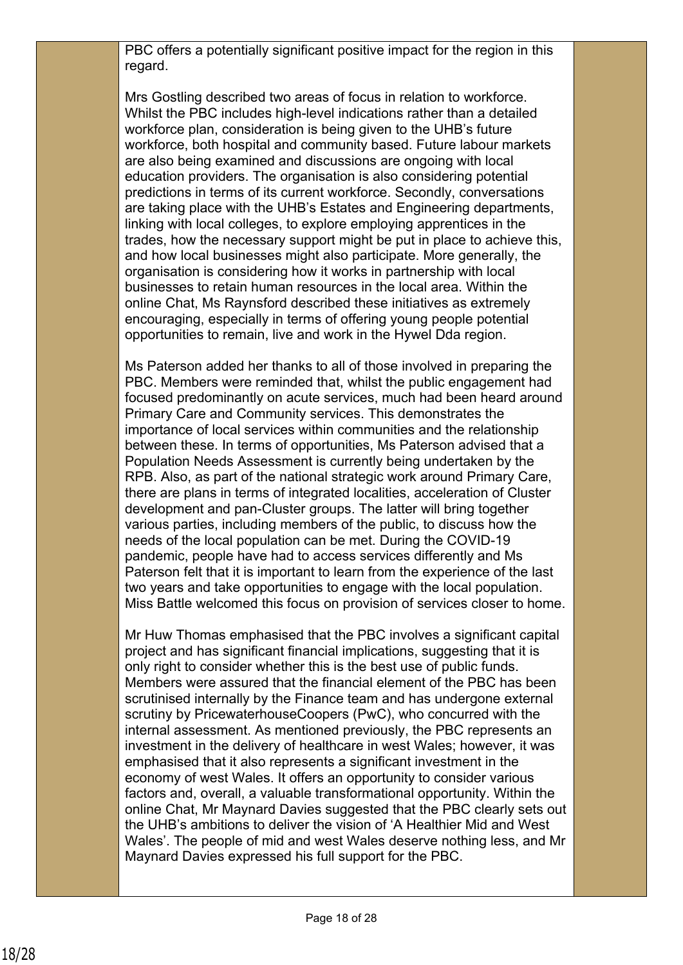PBC offers a potentially significant positive impact for the region in this regard.

Mrs Gostling described two areas of focus in relation to workforce. Whilst the PBC includes high-level indications rather than a detailed workforce plan, consideration is being given to the UHB's future workforce, both hospital and community based. Future labour markets are also being examined and discussions are ongoing with local education providers. The organisation is also considering potential predictions in terms of its current workforce. Secondly, conversations are taking place with the UHB's Estates and Engineering departments, linking with local colleges, to explore employing apprentices in the trades, how the necessary support might be put in place to achieve this, and how local businesses might also participate. More generally, the organisation is considering how it works in partnership with local businesses to retain human resources in the local area. Within the online Chat, Ms Raynsford described these initiatives as extremely encouraging, especially in terms of offering young people potential opportunities to remain, live and work in the Hywel Dda region.

Ms Paterson added her thanks to all of those involved in preparing the PBC. Members were reminded that, whilst the public engagement had focused predominantly on acute services, much had been heard around Primary Care and Community services. This demonstrates the importance of local services within communities and the relationship between these. In terms of opportunities, Ms Paterson advised that a Population Needs Assessment is currently being undertaken by the RPB. Also, as part of the national strategic work around Primary Care, there are plans in terms of integrated localities, acceleration of Cluster development and pan-Cluster groups. The latter will bring together various parties, including members of the public, to discuss how the needs of the local population can be met. During the COVID-19 pandemic, people have had to access services differently and Ms Paterson felt that it is important to learn from the experience of the last two years and take opportunities to engage with the local population. Miss Battle welcomed this focus on provision of services closer to home.

Mr Huw Thomas emphasised that the PBC involves a significant capital project and has significant financial implications, suggesting that it is only right to consider whether this is the best use of public funds. Members were assured that the financial element of the PBC has been scrutinised internally by the Finance team and has undergone external scrutiny by PricewaterhouseCoopers (PwC), who concurred with the internal assessment. As mentioned previously, the PBC represents an investment in the delivery of healthcare in west Wales; however, it was emphasised that it also represents a significant investment in the economy of west Wales. It offers an opportunity to consider various factors and, overall, a valuable transformational opportunity. Within the online Chat, Mr Maynard Davies suggested that the PBC clearly sets out the UHB's ambitions to deliver the vision of 'A Healthier Mid and West Wales'. The people of mid and west Wales deserve nothing less, and Mr Maynard Davies expressed his full support for the PBC.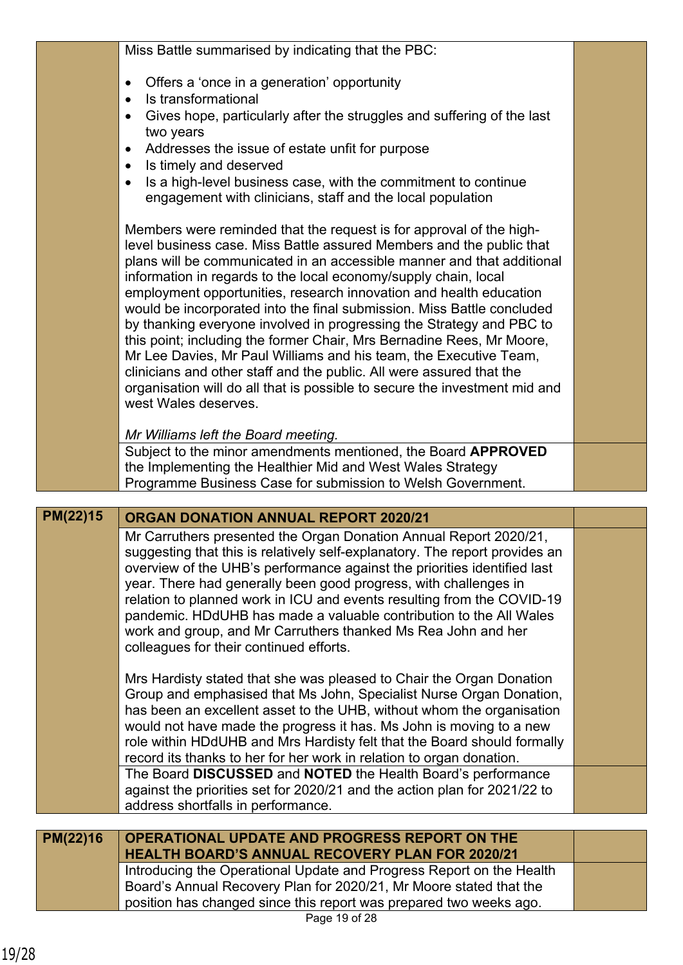|          | Miss Battle summarised by indicating that the PBC:                                                                                                                                                                                                                                                                                                                                                                                                                                                                                                                                                                                                                                                                                                                                                                                           |  |
|----------|----------------------------------------------------------------------------------------------------------------------------------------------------------------------------------------------------------------------------------------------------------------------------------------------------------------------------------------------------------------------------------------------------------------------------------------------------------------------------------------------------------------------------------------------------------------------------------------------------------------------------------------------------------------------------------------------------------------------------------------------------------------------------------------------------------------------------------------------|--|
|          | Offers a 'once in a generation' opportunity<br>Is transformational                                                                                                                                                                                                                                                                                                                                                                                                                                                                                                                                                                                                                                                                                                                                                                           |  |
|          | Gives hope, particularly after the struggles and suffering of the last<br>two years                                                                                                                                                                                                                                                                                                                                                                                                                                                                                                                                                                                                                                                                                                                                                          |  |
|          | Addresses the issue of estate unfit for purpose<br>Is timely and deserved                                                                                                                                                                                                                                                                                                                                                                                                                                                                                                                                                                                                                                                                                                                                                                    |  |
|          | Is a high-level business case, with the commitment to continue<br>engagement with clinicians, staff and the local population                                                                                                                                                                                                                                                                                                                                                                                                                                                                                                                                                                                                                                                                                                                 |  |
|          | Members were reminded that the request is for approval of the high-<br>level business case. Miss Battle assured Members and the public that<br>plans will be communicated in an accessible manner and that additional<br>information in regards to the local economy/supply chain, local<br>employment opportunities, research innovation and health education<br>would be incorporated into the final submission. Miss Battle concluded<br>by thanking everyone involved in progressing the Strategy and PBC to<br>this point; including the former Chair, Mrs Bernadine Rees, Mr Moore,<br>Mr Lee Davies, Mr Paul Williams and his team, the Executive Team,<br>clinicians and other staff and the public. All were assured that the<br>organisation will do all that is possible to secure the investment mid and<br>west Wales deserves. |  |
|          | Mr Williams left the Board meeting.                                                                                                                                                                                                                                                                                                                                                                                                                                                                                                                                                                                                                                                                                                                                                                                                          |  |
|          | Subject to the minor amendments mentioned, the Board APPROVED<br>the Implementing the Healthier Mid and West Wales Strategy<br>Programme Business Case for submission to Welsh Government.                                                                                                                                                                                                                                                                                                                                                                                                                                                                                                                                                                                                                                                   |  |
|          |                                                                                                                                                                                                                                                                                                                                                                                                                                                                                                                                                                                                                                                                                                                                                                                                                                              |  |
| PM(22)15 | <b>ORGAN DONATION ANNUAL REPORT 2020/21</b>                                                                                                                                                                                                                                                                                                                                                                                                                                                                                                                                                                                                                                                                                                                                                                                                  |  |
|          | Mr Carruthers presented the Organ Donation Annual Report 2020/21,<br>suggesting that this is relatively self-explanatory. The report provides an<br>overview of the UHB's performance against the priorities identified last<br>year. There had generally been good progress, with challenges in<br>relation to planned work in ICU and events resulting from the COVID-19<br>pandemic. HDdUHB has made a valuable contribution to the All Wales<br>work and group, and Mr Carruthers thanked Ms Rea John and her<br>colleagues for their continued efforts.                                                                                                                                                                                                                                                                                 |  |
|          | Mrs Hardisty stated that she was pleased to Chair the Organ Donation<br>Group and emphasised that Ms John, Specialist Nurse Organ Donation,<br>has been an excellent asset to the UHB, without whom the organisation<br>would not have made the progress it has. Ms John is moving to a new<br>role within HDdUHB and Mrs Hardisty felt that the Board should formally<br>record its thanks to her for her work in relation to organ donation.                                                                                                                                                                                                                                                                                                                                                                                               |  |
|          | The Board DISCUSSED and NOTED the Health Board's performance<br>against the priorities set for 2020/21 and the action plan for 2021/22 to<br>address shortfalls in performance.                                                                                                                                                                                                                                                                                                                                                                                                                                                                                                                                                                                                                                                              |  |
|          |                                                                                                                                                                                                                                                                                                                                                                                                                                                                                                                                                                                                                                                                                                                                                                                                                                              |  |
| PM(22)16 | OPERATIONAL UPDATE AND PROGRESS REPORT ON THE<br><b>HEALTH BOARD'S ANNUAL RECOVERY PLAN FOR 2020/21</b>                                                                                                                                                                                                                                                                                                                                                                                                                                                                                                                                                                                                                                                                                                                                      |  |
|          | Introducing the Operational Update and Progress Report on the Health<br>Board's Annual Recovery Plan for 2020/21, Mr Moore stated that the                                                                                                                                                                                                                                                                                                                                                                                                                                                                                                                                                                                                                                                                                                   |  |

Page 19 of 28 position has changed since this report was prepared two weeks ago.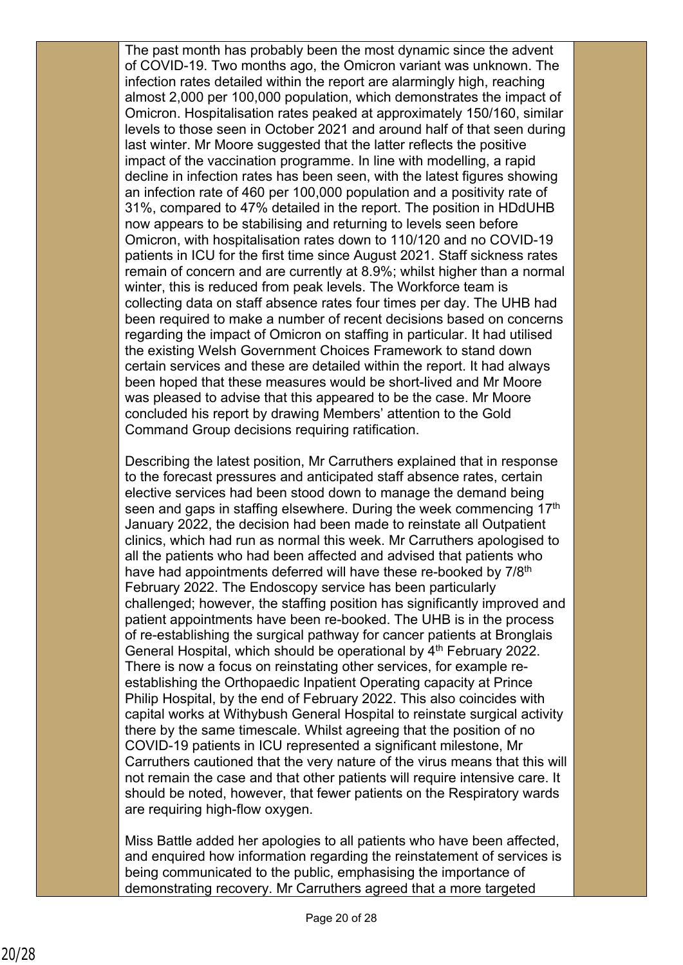The past month has probably been the most dynamic since the advent of COVID-19. Two months ago, the Omicron variant was unknown. The infection rates detailed within the report are alarmingly high, reaching almost 2,000 per 100,000 population, which demonstrates the impact of Omicron. Hospitalisation rates peaked at approximately 150/160, similar levels to those seen in October 2021 and around half of that seen during last winter. Mr Moore suggested that the latter reflects the positive impact of the vaccination programme. In line with modelling, a rapid decline in infection rates has been seen, with the latest figures showing an infection rate of 460 per 100,000 population and a positivity rate of 31%, compared to 47% detailed in the report. The position in HDdUHB now appears to be stabilising and returning to levels seen before Omicron, with hospitalisation rates down to 110/120 and no COVID-19 patients in ICU for the first time since August 2021. Staff sickness rates remain of concern and are currently at 8.9%; whilst higher than a normal winter, this is reduced from peak levels. The Workforce team is collecting data on staff absence rates four times per day. The UHB had been required to make a number of recent decisions based on concerns regarding the impact of Omicron on staffing in particular. It had utilised the existing Welsh Government Choices Framework to stand down certain services and these are detailed within the report. It had always been hoped that these measures would be short-lived and Mr Moore was pleased to advise that this appeared to be the case. Mr Moore concluded his report by drawing Members' attention to the Gold Command Group decisions requiring ratification.

Describing the latest position, Mr Carruthers explained that in response to the forecast pressures and anticipated staff absence rates, certain elective services had been stood down to manage the demand being seen and gaps in staffing elsewhere. During the week commencing 17<sup>th</sup> January 2022, the decision had been made to reinstate all Outpatient clinics, which had run as normal this week. Mr Carruthers apologised to all the patients who had been affected and advised that patients who have had appointments deferred will have these re-booked by 7/8<sup>th</sup> February 2022. The Endoscopy service has been particularly challenged; however, the staffing position has significantly improved and patient appointments have been re-booked. The UHB is in the process of re-establishing the surgical pathway for cancer patients at Bronglais General Hospital, which should be operational by 4<sup>th</sup> February 2022. There is now a focus on reinstating other services, for example reestablishing the Orthopaedic Inpatient Operating capacity at Prince Philip Hospital, by the end of February 2022. This also coincides with capital works at Withybush General Hospital to reinstate surgical activity there by the same timescale. Whilst agreeing that the position of no COVID-19 patients in ICU represented a significant milestone, Mr Carruthers cautioned that the very nature of the virus means that this will not remain the case and that other patients will require intensive care. It should be noted, however, that fewer patients on the Respiratory wards are requiring high-flow oxygen.

Miss Battle added her apologies to all patients who have been affected, and enquired how information regarding the reinstatement of services is being communicated to the public, emphasising the importance of demonstrating recovery. Mr Carruthers agreed that a more targeted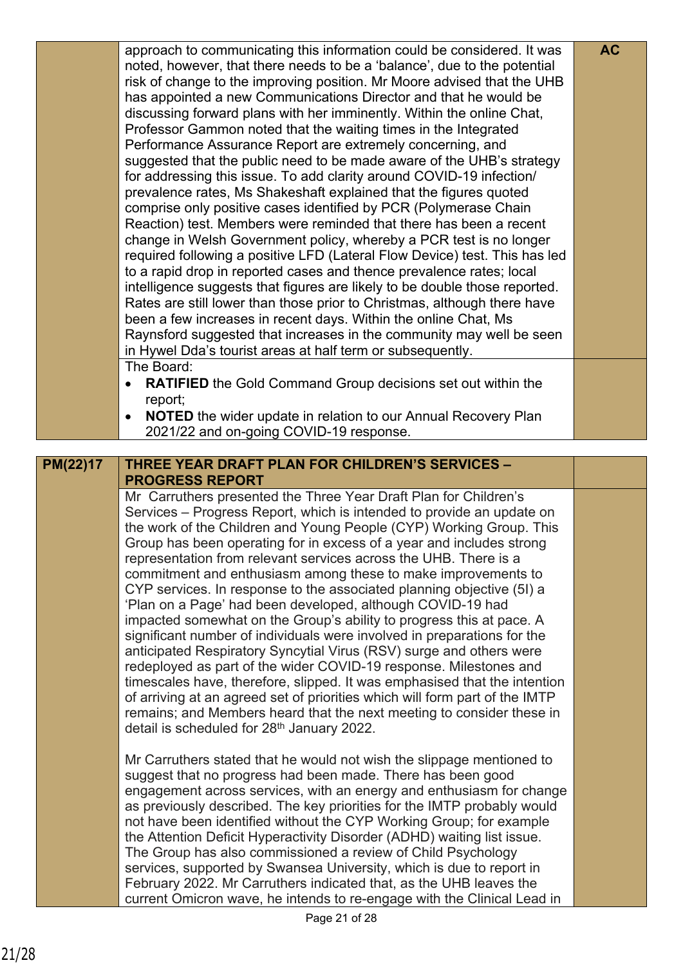|          | approach to communicating this information could be considered. It was<br>noted, however, that there needs to be a 'balance', due to the potential<br>risk of change to the improving position. Mr Moore advised that the UHB<br>has appointed a new Communications Director and that he would be<br>discussing forward plans with her imminently. Within the online Chat,<br>Professor Gammon noted that the waiting times in the Integrated<br>Performance Assurance Report are extremely concerning, and<br>suggested that the public need to be made aware of the UHB's strategy<br>for addressing this issue. To add clarity around COVID-19 infection/<br>prevalence rates, Ms Shakeshaft explained that the figures quoted<br>comprise only positive cases identified by PCR (Polymerase Chain<br>Reaction) test. Members were reminded that there has been a recent<br>change in Welsh Government policy, whereby a PCR test is no longer<br>required following a positive LFD (Lateral Flow Device) test. This has led<br>to a rapid drop in reported cases and thence prevalence rates; local<br>intelligence suggests that figures are likely to be double those reported.<br>Rates are still lower than those prior to Christmas, although there have<br>been a few increases in recent days. Within the online Chat, Ms<br>Raynsford suggested that increases in the community may well be seen<br>in Hywel Dda's tourist areas at half term or subsequently. | <b>AC</b> |
|----------|----------------------------------------------------------------------------------------------------------------------------------------------------------------------------------------------------------------------------------------------------------------------------------------------------------------------------------------------------------------------------------------------------------------------------------------------------------------------------------------------------------------------------------------------------------------------------------------------------------------------------------------------------------------------------------------------------------------------------------------------------------------------------------------------------------------------------------------------------------------------------------------------------------------------------------------------------------------------------------------------------------------------------------------------------------------------------------------------------------------------------------------------------------------------------------------------------------------------------------------------------------------------------------------------------------------------------------------------------------------------------------------------------------------------------------------------------------------------------|-----------|
|          | The Board:<br><b>RATIFIED</b> the Gold Command Group decisions set out within the<br>$\bullet$<br>report;<br><b>NOTED</b> the wider update in relation to our Annual Recovery Plan<br>$\bullet$<br>2021/22 and on-going COVID-19 response.                                                                                                                                                                                                                                                                                                                                                                                                                                                                                                                                                                                                                                                                                                                                                                                                                                                                                                                                                                                                                                                                                                                                                                                                                                 |           |
| PM(22)17 | <b>THREE YEAR DRAFT PLAN FOR CHILDREN'S SERVICES -</b><br><b>PROGRESS REPORT</b>                                                                                                                                                                                                                                                                                                                                                                                                                                                                                                                                                                                                                                                                                                                                                                                                                                                                                                                                                                                                                                                                                                                                                                                                                                                                                                                                                                                           |           |
|          | Mr Carruthers presented the Three Year Draft Plan for Children's<br>Services – Progress Report, which is intended to provide an update on<br>the work of the Children and Young People (CYP) Working Group. This<br>Group has been operating for in excess of a year and includes strong<br>representation from relevant services across the UHB. There is a<br>commitment and enthusiasm among these to make improvements to<br>CYP services. In response to the associated planning objective (5I) a<br>'Plan on a Page' had been developed, although COVID-19 had<br>impacted somewhat on the Group's ability to progress this at pace. A<br>significant number of individuals were involved in preparations for the<br>anticipated Respiratory Syncytial Virus (RSV) surge and others were<br>redeployed as part of the wider COVID-19 response. Milestones and<br>timescales have, therefore, slipped. It was emphasised that the intention<br>of arriving at an agreed set of priorities which will form part of the IMTP<br>remains; and Members heard that the next meeting to consider these in<br>detail is scheduled for 28 <sup>th</sup> January 2022.                                                                                                                                                                                                                                                                                                         |           |
|          | Mr Carruthers stated that he would not wish the slippage mentioned to<br>suggest that no progress had been made. There has been good<br>engagement across services, with an energy and enthusiasm for change<br>as previously described. The key priorities for the IMTP probably would<br>not have been identified without the CYP Working Group; for example<br>the Attention Deficit Hyperactivity Disorder (ADHD) waiting list issue.<br>The Group has also commissioned a review of Child Psychology                                                                                                                                                                                                                                                                                                                                                                                                                                                                                                                                                                                                                                                                                                                                                                                                                                                                                                                                                                  |           |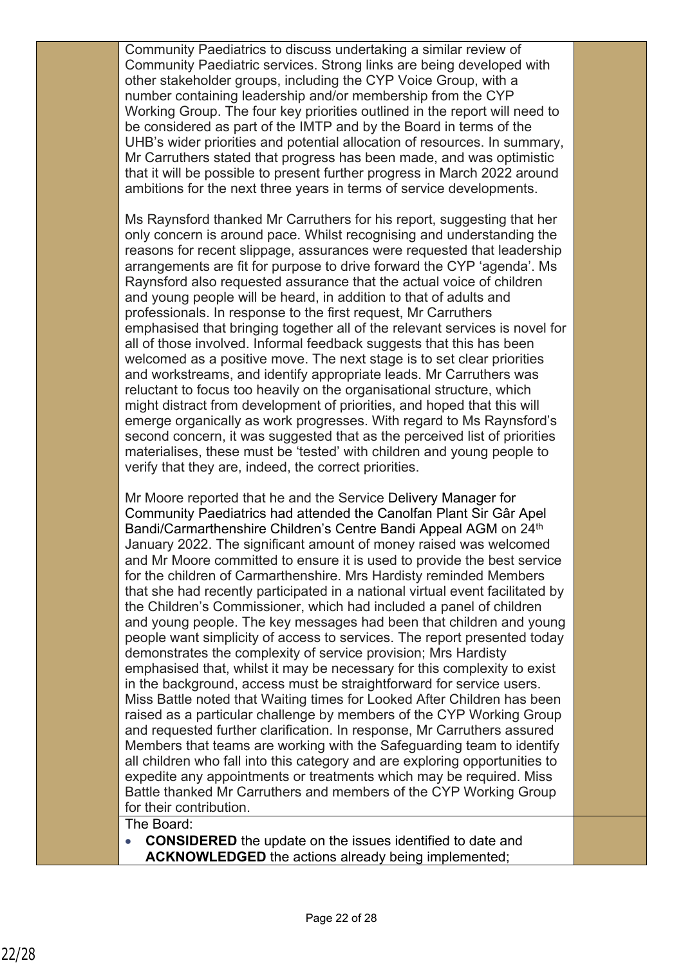Community Paediatrics to discuss undertaking a similar review of Community Paediatric services. Strong links are being developed with other stakeholder groups, including the CYP Voice Group, with a number containing leadership and/or membership from the CYP Working Group. The four key priorities outlined in the report will need to be considered as part of the IMTP and by the Board in terms of the UHB's wider priorities and potential allocation of resources. In summary, Mr Carruthers stated that progress has been made, and was optimistic that it will be possible to present further progress in March 2022 around ambitions for the next three years in terms of service developments.

Ms Raynsford thanked Mr Carruthers for his report, suggesting that her only concern is around pace. Whilst recognising and understanding the reasons for recent slippage, assurances were requested that leadership arrangements are fit for purpose to drive forward the CYP 'agenda'. Ms Raynsford also requested assurance that the actual voice of children and young people will be heard, in addition to that of adults and professionals. In response to the first request, Mr Carruthers emphasised that bringing together all of the relevant services is novel for all of those involved. Informal feedback suggests that this has been welcomed as a positive move. The next stage is to set clear priorities and workstreams, and identify appropriate leads. Mr Carruthers was reluctant to focus too heavily on the organisational structure, which might distract from development of priorities, and hoped that this will emerge organically as work progresses. With regard to Ms Raynsford's second concern, it was suggested that as the perceived list of priorities materialises, these must be 'tested' with children and young people to verify that they are, indeed, the correct priorities.

Mr Moore reported that he and the Service Delivery Manager for Community Paediatrics had attended the Canolfan Plant Sir Gâr Apel Bandi/Carmarthenshire Children's Centre Bandi Appeal AGM on 24<sup>th</sup> January 2022. The significant amount of money raised was welcomed and Mr Moore committed to ensure it is used to provide the best service for the children of Carmarthenshire. Mrs Hardisty reminded Members that she had recently participated in a national virtual event facilitated by the Children's Commissioner, which had included a panel of children and young people. The key messages had been that children and young people want simplicity of access to services. The report presented today demonstrates the complexity of service provision; Mrs Hardisty emphasised that, whilst it may be necessary for this complexity to exist in the background, access must be straightforward for service users. Miss Battle noted that Waiting times for Looked After Children has been raised as a particular challenge by members of the CYP Working Group and requested further clarification. In response, Mr Carruthers assured Members that teams are working with the Safeguarding team to identify all children who fall into this category and are exploring opportunities to expedite any appointments or treatments which may be required. Miss Battle thanked Mr Carruthers and members of the CYP Working Group for their contribution.

### The Board:

**CONSIDERED** the update on the issues identified to date and **ACKNOWLEDGED** the actions already being implemented;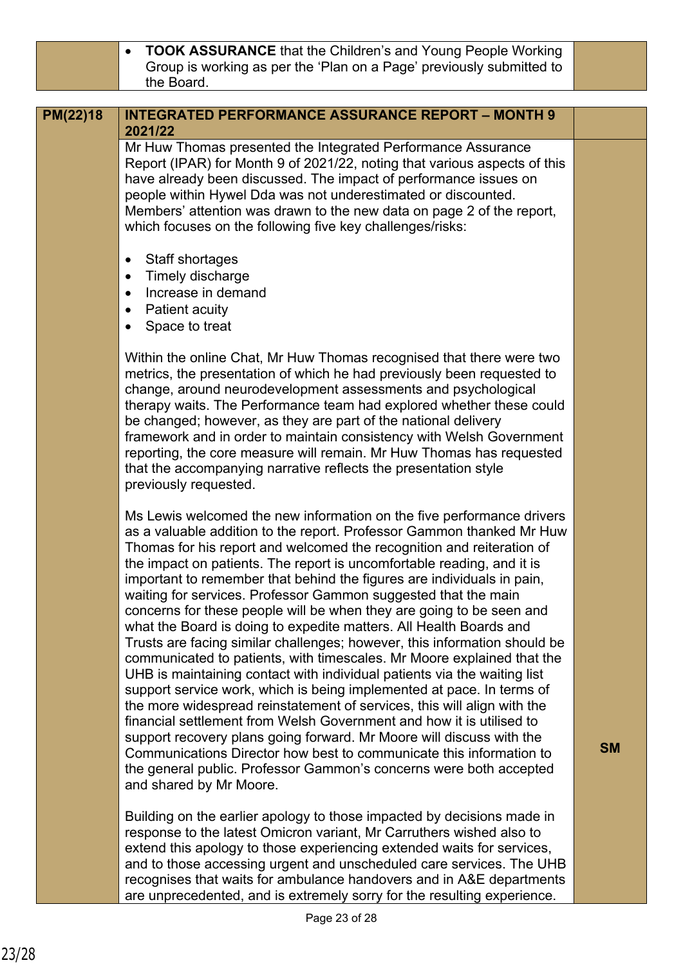**TOOK ASSURANCE** that the Children's and Young People Working Group is working as per the 'Plan on a Page' previously submitted to the Board.

#### **INTEGRATED PERFORMANCE ASSURANCE REPORT – MONTH 9 2021/22 PM(22)18**

Mr Huw Thomas presented the Integrated Performance Assurance Report (IPAR) for Month 9 of 2021/22, noting that various aspects of this have already been discussed. The impact of performance issues on people within Hywel Dda was not underestimated or discounted. Members' attention was drawn to the new data on page 2 of the report, which focuses on the following five key challenges/risks:

- Staff shortages
- Timely discharge
- Increase in demand
- Patient acuity
- Space to treat

Within the online Chat, Mr Huw Thomas recognised that there were two metrics, the presentation of which he had previously been requested to change, around neurodevelopment assessments and psychological therapy waits. The Performance team had explored whether these could be changed; however, as they are part of the national delivery framework and in order to maintain consistency with Welsh Government reporting, the core measure will remain. Mr Huw Thomas has requested that the accompanying narrative reflects the presentation style previously requested.

Ms Lewis welcomed the new information on the five performance drivers as a valuable addition to the report. Professor Gammon thanked Mr Huw Thomas for his report and welcomed the recognition and reiteration of the impact on patients. The report is uncomfortable reading, and it is important to remember that behind the figures are individuals in pain, waiting for services. Professor Gammon suggested that the main concerns for these people will be when they are going to be seen and what the Board is doing to expedite matters. All Health Boards and Trusts are facing similar challenges; however, this information should be communicated to patients, with timescales. Mr Moore explained that the UHB is maintaining contact with individual patients via the waiting list support service work, which is being implemented at pace. In terms of the more widespread reinstatement of services, this will align with the financial settlement from Welsh Government and how it is utilised to support recovery plans going forward. Mr Moore will discuss with the Communications Director how best to communicate this information to the general public. Professor Gammon's concerns were both accepted and shared by Mr Moore.

Building on the earlier apology to those impacted by decisions made in response to the latest Omicron variant, Mr Carruthers wished also to extend this apology to those experiencing extended waits for services, and to those accessing urgent and unscheduled care services. The UHB recognises that waits for ambulance handovers and in A&E departments are unprecedented, and is extremely sorry for the resulting experience.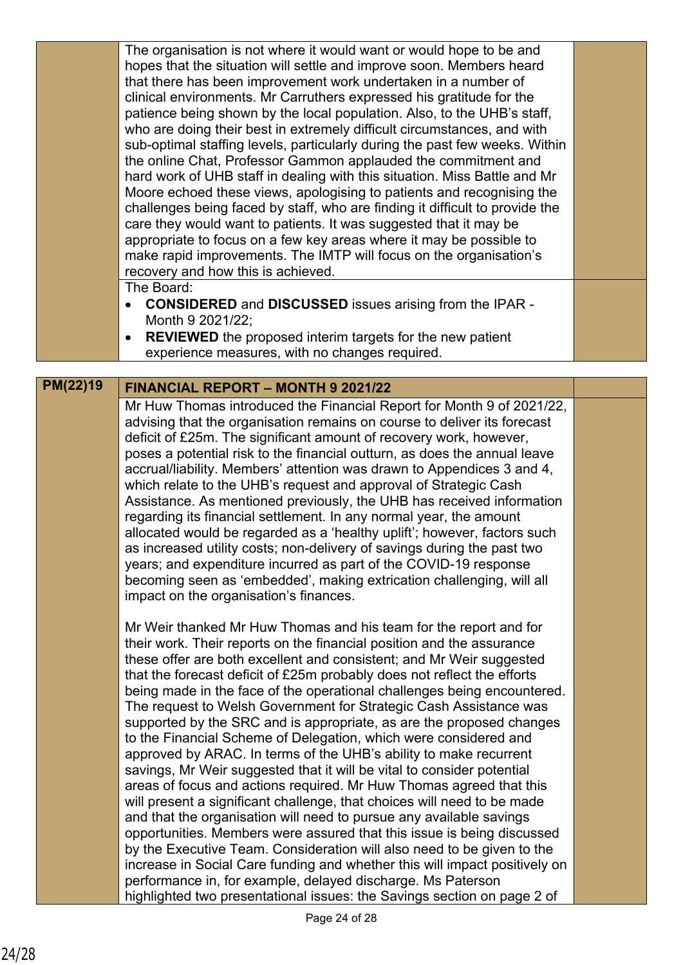| The organisation is not where it would want or would hope to be and          |  |
|------------------------------------------------------------------------------|--|
| hopes that the situation will settle and improve soon. Members heard         |  |
| that there has been improvement work undertaken in a number of               |  |
| clinical environments. Mr Carruthers expressed his gratitude for the         |  |
| patience being shown by the local population. Also, to the UHB's staff,      |  |
| who are doing their best in extremely difficult circumstances, and with      |  |
| sub-optimal staffing levels, particularly during the past few weeks. Within  |  |
| the online Chat, Professor Gammon applauded the commitment and               |  |
| hard work of UHB staff in dealing with this situation. Miss Battle and Mr    |  |
| Moore echoed these views, apologising to patients and recognising the        |  |
| challenges being faced by staff, who are finding it difficult to provide the |  |
| care they would want to patients. It was suggested that it may be            |  |
| appropriate to focus on a few key areas where it may be possible to          |  |
| make rapid improvements. The IMTP will focus on the organisation's           |  |
| recovery and how this is achieved.                                           |  |
| The Board:                                                                   |  |
| CONGIBERED and BICCHCCEB issues stiging from the IDAD                        |  |

- **CONSIDERED** and **DISCUSSED** issues arising from the IPAR Month 9 2021/22;
- **REVIEWED** the proposed interim targets for the new patient experience measures, with no changes required.

# **PM(22)19 FINANCIAL REPORT – MONTH 9 2021/22**

Mr Huw Thomas introduced the Financial Report for Month 9 of 2021/22, advising that the organisation remains on course to deliver its forecast deficit of £25m. The significant amount of recovery work, however, poses a potential risk to the financial outturn, as does the annual leave accrual/liability. Members' attention was drawn to Appendices 3 and 4, which relate to the UHB's request and approval of Strategic Cash Assistance. As mentioned previously, the UHB has received information regarding its financial settlement. In any normal year, the amount allocated would be regarded as a 'healthy uplift'; however, factors such as increased utility costs; non-delivery of savings during the past two years; and expenditure incurred as part of the COVID-19 response becoming seen as 'embedded', making extrication challenging, will all impact on the organisation's finances.

Mr Weir thanked Mr Huw Thomas and his team for the report and for their work. Their reports on the financial position and the assurance these offer are both excellent and consistent; and Mr Weir suggested that the forecast deficit of £25m probably does not reflect the efforts being made in the face of the operational challenges being encountered. The request to Welsh Government for Strategic Cash Assistance was supported by the SRC and is appropriate, as are the proposed changes to the Financial Scheme of Delegation, which were considered and approved by ARAC. In terms of the UHB's ability to make recurrent savings, Mr Weir suggested that it will be vital to consider potential areas of focus and actions required. Mr Huw Thomas agreed that this will present a significant challenge, that choices will need to be made and that the organisation will need to pursue any available savings opportunities. Members were assured that this issue is being discussed by the Executive Team. Consideration will also need to be given to the increase in Social Care funding and whether this will impact positively on performance in, for example, delayed discharge. Ms Paterson highlighted two presentational issues: the Savings section on page 2 of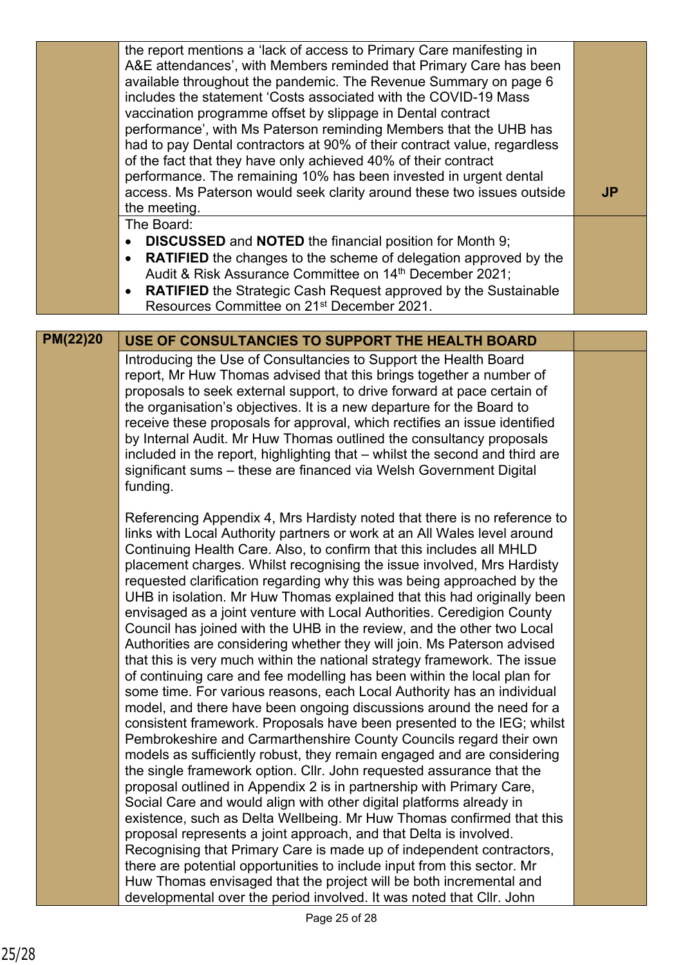|                 | the report mentions a 'lack of access to Primary Care manifesting in<br>A&E attendances', with Members reminded that Primary Care has been<br>available throughout the pandemic. The Revenue Summary on page 6<br>includes the statement 'Costs associated with the COVID-19 Mass<br>vaccination programme offset by slippage in Dental contract<br>performance', with Ms Paterson reminding Members that the UHB has<br>had to pay Dental contractors at 90% of their contract value, regardless<br>of the fact that they have only achieved 40% of their contract<br>performance. The remaining 10% has been invested in urgent dental<br>access. Ms Paterson would seek clarity around these two issues outside<br>the meeting.                                                                                                                                                                                                                                                                                                                                                                                                                                                                                                                                                                                                                                                                                                                                                                                                                                                                                                                                                                                                                    | <b>JP</b> |
|-----------------|-------------------------------------------------------------------------------------------------------------------------------------------------------------------------------------------------------------------------------------------------------------------------------------------------------------------------------------------------------------------------------------------------------------------------------------------------------------------------------------------------------------------------------------------------------------------------------------------------------------------------------------------------------------------------------------------------------------------------------------------------------------------------------------------------------------------------------------------------------------------------------------------------------------------------------------------------------------------------------------------------------------------------------------------------------------------------------------------------------------------------------------------------------------------------------------------------------------------------------------------------------------------------------------------------------------------------------------------------------------------------------------------------------------------------------------------------------------------------------------------------------------------------------------------------------------------------------------------------------------------------------------------------------------------------------------------------------------------------------------------------------|-----------|
|                 | The Board:                                                                                                                                                                                                                                                                                                                                                                                                                                                                                                                                                                                                                                                                                                                                                                                                                                                                                                                                                                                                                                                                                                                                                                                                                                                                                                                                                                                                                                                                                                                                                                                                                                                                                                                                            |           |
|                 | <b>DISCUSSED</b> and <b>NOTED</b> the financial position for Month 9;<br>$\bullet$                                                                                                                                                                                                                                                                                                                                                                                                                                                                                                                                                                                                                                                                                                                                                                                                                                                                                                                                                                                                                                                                                                                                                                                                                                                                                                                                                                                                                                                                                                                                                                                                                                                                    |           |
|                 | <b>RATIFIED</b> the changes to the scheme of delegation approved by the<br>$\bullet$                                                                                                                                                                                                                                                                                                                                                                                                                                                                                                                                                                                                                                                                                                                                                                                                                                                                                                                                                                                                                                                                                                                                                                                                                                                                                                                                                                                                                                                                                                                                                                                                                                                                  |           |
|                 | Audit & Risk Assurance Committee on 14th December 2021;                                                                                                                                                                                                                                                                                                                                                                                                                                                                                                                                                                                                                                                                                                                                                                                                                                                                                                                                                                                                                                                                                                                                                                                                                                                                                                                                                                                                                                                                                                                                                                                                                                                                                               |           |
|                 | <b>RATIFIED</b> the Strategic Cash Request approved by the Sustainable<br>Resources Committee on 21 <sup>st</sup> December 2021.                                                                                                                                                                                                                                                                                                                                                                                                                                                                                                                                                                                                                                                                                                                                                                                                                                                                                                                                                                                                                                                                                                                                                                                                                                                                                                                                                                                                                                                                                                                                                                                                                      |           |
|                 |                                                                                                                                                                                                                                                                                                                                                                                                                                                                                                                                                                                                                                                                                                                                                                                                                                                                                                                                                                                                                                                                                                                                                                                                                                                                                                                                                                                                                                                                                                                                                                                                                                                                                                                                                       |           |
| <b>PM(22)20</b> | USE OF CONSULTANCIES TO SUPPORT THE HEALTH BOARD                                                                                                                                                                                                                                                                                                                                                                                                                                                                                                                                                                                                                                                                                                                                                                                                                                                                                                                                                                                                                                                                                                                                                                                                                                                                                                                                                                                                                                                                                                                                                                                                                                                                                                      |           |
|                 | Introducing the Use of Consultancies to Support the Health Board<br>report, Mr Huw Thomas advised that this brings together a number of<br>proposals to seek external support, to drive forward at pace certain of<br>the organisation's objectives. It is a new departure for the Board to<br>receive these proposals for approval, which rectifies an issue identified<br>by Internal Audit. Mr Huw Thomas outlined the consultancy proposals<br>included in the report, highlighting that - whilst the second and third are<br>significant sums - these are financed via Welsh Government Digital<br>funding.                                                                                                                                                                                                                                                                                                                                                                                                                                                                                                                                                                                                                                                                                                                                                                                                                                                                                                                                                                                                                                                                                                                                      |           |
|                 | Referencing Appendix 4, Mrs Hardisty noted that there is no reference to<br>links with Local Authority partners or work at an All Wales level around<br>Continuing Health Care. Also, to confirm that this includes all MHLD<br>placement charges. Whilst recognising the issue involved, Mrs Hardisty<br>requested clarification regarding why this was being approached by the<br>UHB in isolation. Mr Huw Thomas explained that this had originally been<br>envisaged as a joint venture with Local Authorities. Ceredigion County<br>Council has joined with the UHB in the review, and the other two Local<br>Authorities are considering whether they will join. Ms Paterson advised<br>that this is very much within the national strategy framework. The issue<br>of continuing care and fee modelling has been within the local plan for<br>some time. For various reasons, each Local Authority has an individual<br>model, and there have been ongoing discussions around the need for a<br>consistent framework. Proposals have been presented to the IEG; whilst<br>Pembrokeshire and Carmarthenshire County Councils regard their own<br>models as sufficiently robust, they remain engaged and are considering<br>the single framework option. Cllr. John requested assurance that the<br>proposal outlined in Appendix 2 is in partnership with Primary Care,<br>Social Care and would align with other digital platforms already in<br>existence, such as Delta Wellbeing. Mr Huw Thomas confirmed that this<br>proposal represents a joint approach, and that Delta is involved.<br>Recognising that Primary Care is made up of independent contractors,<br>there are potential opportunities to include input from this sector. Mr |           |
|                 | Huw Thomas envisaged that the project will be both incremental and<br>developmental over the period involved. It was noted that Cllr. John                                                                                                                                                                                                                                                                                                                                                                                                                                                                                                                                                                                                                                                                                                                                                                                                                                                                                                                                                                                                                                                                                                                                                                                                                                                                                                                                                                                                                                                                                                                                                                                                            |           |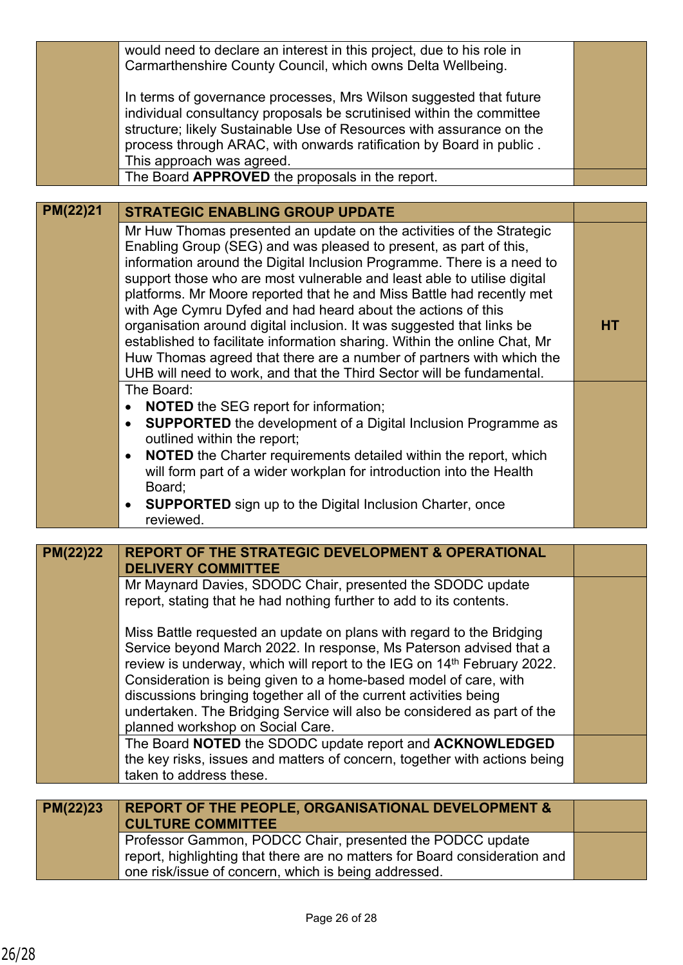|          | would need to declare an interest in this project, due to his role in<br>Carmarthenshire County Council, which owns Delta Wellbeing.                                                                                                                                                                                                                                                                                                                                                                                                                                                                                                                                                                                                           |           |
|----------|------------------------------------------------------------------------------------------------------------------------------------------------------------------------------------------------------------------------------------------------------------------------------------------------------------------------------------------------------------------------------------------------------------------------------------------------------------------------------------------------------------------------------------------------------------------------------------------------------------------------------------------------------------------------------------------------------------------------------------------------|-----------|
|          | In terms of governance processes, Mrs Wilson suggested that future<br>individual consultancy proposals be scrutinised within the committee<br>structure; likely Sustainable Use of Resources with assurance on the<br>process through ARAC, with onwards ratification by Board in public.<br>This approach was agreed.                                                                                                                                                                                                                                                                                                                                                                                                                         |           |
|          | The Board APPROVED the proposals in the report.                                                                                                                                                                                                                                                                                                                                                                                                                                                                                                                                                                                                                                                                                                |           |
|          |                                                                                                                                                                                                                                                                                                                                                                                                                                                                                                                                                                                                                                                                                                                                                |           |
| PM(22)21 | <b>STRATEGIC ENABLING GROUP UPDATE</b>                                                                                                                                                                                                                                                                                                                                                                                                                                                                                                                                                                                                                                                                                                         |           |
|          | Mr Huw Thomas presented an update on the activities of the Strategic<br>Enabling Group (SEG) and was pleased to present, as part of this,<br>information around the Digital Inclusion Programme. There is a need to<br>support those who are most vulnerable and least able to utilise digital<br>platforms. Mr Moore reported that he and Miss Battle had recently met<br>with Age Cymru Dyfed and had heard about the actions of this<br>organisation around digital inclusion. It was suggested that links be<br>established to facilitate information sharing. Within the online Chat, Mr<br>Huw Thomas agreed that there are a number of partners with which the<br>UHB will need to work, and that the Third Sector will be fundamental. | <b>HT</b> |
|          | The Board:<br><b>NOTED</b> the SEG report for information;<br>$\bullet$<br><b>SUPPORTED</b> the development of a Digital Inclusion Programme as<br>$\bullet$                                                                                                                                                                                                                                                                                                                                                                                                                                                                                                                                                                                   |           |
|          | outlined within the report;<br>NOTED the Charter requirements detailed within the report, which<br>will form part of a wider workplan for introduction into the Health<br>Board;<br><b>SUPPORTED</b> sign up to the Digital Inclusion Charter, once<br>$\bullet$<br>reviewed.                                                                                                                                                                                                                                                                                                                                                                                                                                                                  |           |
|          |                                                                                                                                                                                                                                                                                                                                                                                                                                                                                                                                                                                                                                                                                                                                                |           |
| PM(22)22 | <b>REPORT OF THE STRATEGIC DEVELOPMENT &amp; OPERATIONAL</b><br><b>DELIVERY COMMITTEE</b>                                                                                                                                                                                                                                                                                                                                                                                                                                                                                                                                                                                                                                                      |           |
|          | Mr Maynard Davies, SDODC Chair, presented the SDODC update<br>report, stating that he had nothing further to add to its contents.                                                                                                                                                                                                                                                                                                                                                                                                                                                                                                                                                                                                              |           |
|          | Miss Battle requested an update on plans with regard to the Bridging<br>Service beyond March 2022. In response, Ms Paterson advised that a<br>review is underway, which will report to the IEG on 14th February 2022.<br>Consideration is being given to a home-based model of care, with<br>discussions bringing together all of the current activities being<br>undertaken. The Bridging Service will also be considered as part of the<br>planned workshop on Social Care.                                                                                                                                                                                                                                                                  |           |
|          | The Board NOTED the SDODC update report and ACKNOWLEDGED<br>the key risks, issues and matters of concern, together with actions being<br>taken to address these.                                                                                                                                                                                                                                                                                                                                                                                                                                                                                                                                                                               |           |
|          |                                                                                                                                                                                                                                                                                                                                                                                                                                                                                                                                                                                                                                                                                                                                                |           |
| PM(22)23 | <b>REPORT OF THE PEOPLE, ORGANISATIONAL DEVELOPMENT &amp;</b><br><b>CULTURE COMMITTEE</b>                                                                                                                                                                                                                                                                                                                                                                                                                                                                                                                                                                                                                                                      |           |
|          | Professor Gammon, PODCC Chair, presented the PODCC update<br>report, highlighting that there are no matters for Board consideration and<br>one risk/issue of concern, which is being addressed.                                                                                                                                                                                                                                                                                                                                                                                                                                                                                                                                                |           |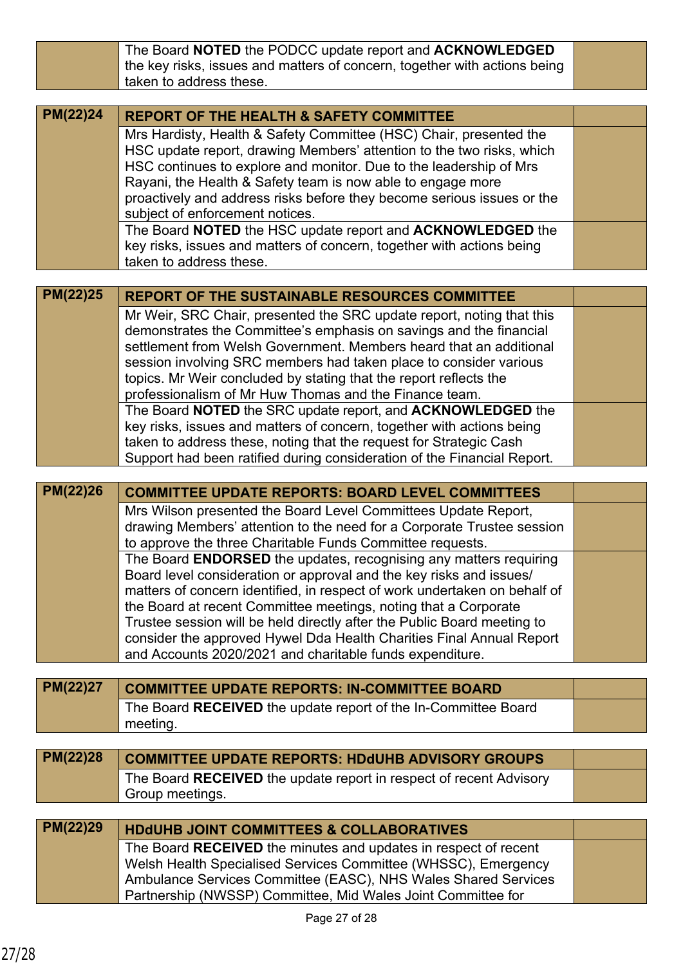|                 | The Board NOTED the PODCC update report and ACKNOWLEDGED                                                                       |  |
|-----------------|--------------------------------------------------------------------------------------------------------------------------------|--|
|                 | the key risks, issues and matters of concern, together with actions being                                                      |  |
|                 | taken to address these.                                                                                                        |  |
|                 |                                                                                                                                |  |
| <b>PM(22)24</b> | <b>REPORT OF THE HEALTH &amp; SAFETY COMMITTEE</b>                                                                             |  |
|                 | Mrs Hardisty, Health & Safety Committee (HSC) Chair, presented the                                                             |  |
|                 | HSC update report, drawing Members' attention to the two risks, which                                                          |  |
|                 | HSC continues to explore and monitor. Due to the leadership of Mrs                                                             |  |
|                 | Rayani, the Health & Safety team is now able to engage more                                                                    |  |
|                 | proactively and address risks before they become serious issues or the                                                         |  |
|                 | subject of enforcement notices.                                                                                                |  |
|                 | The Board NOTED the HSC update report and ACKNOWLEDGED the                                                                     |  |
|                 | key risks, issues and matters of concern, together with actions being                                                          |  |
|                 | taken to address these.                                                                                                        |  |
|                 |                                                                                                                                |  |
| PM(22)25        | <b>REPORT OF THE SUSTAINABLE RESOURCES COMMITTEE</b>                                                                           |  |
|                 | Mr Weir, SRC Chair, presented the SRC update report, noting that this                                                          |  |
|                 | demonstrates the Committee's emphasis on savings and the financial                                                             |  |
|                 | settlement from Welsh Government. Members heard that an additional                                                             |  |
|                 | session involving SRC members had taken place to consider various                                                              |  |
|                 | topics. Mr Weir concluded by stating that the report reflects the                                                              |  |
|                 | professionalism of Mr Huw Thomas and the Finance team.                                                                         |  |
|                 | The Board NOTED the SRC update report, and ACKNOWLEDGED the                                                                    |  |
|                 | key risks, issues and matters of concern, together with actions being                                                          |  |
|                 | taken to address these, noting that the request for Strategic Cash                                                             |  |
|                 | Support had been ratified during consideration of the Financial Report.                                                        |  |
|                 |                                                                                                                                |  |
|                 |                                                                                                                                |  |
| <b>PM(22)26</b> | <b>COMMITTEE UPDATE REPORTS: BOARD LEVEL COMMITTEES</b>                                                                        |  |
|                 | Mrs Wilson presented the Board Level Committees Update Report,                                                                 |  |
|                 | drawing Members' attention to the need for a Corporate Trustee session                                                         |  |
|                 | to approve the three Charitable Funds Committee requests.                                                                      |  |
|                 | The Board <b>ENDORSED</b> the updates, recognising any matters requiring                                                       |  |
|                 | Board level consideration or approval and the key risks and issues/                                                            |  |
|                 | matters of concern identified, in respect of work undertaken on behalf of                                                      |  |
|                 | the Board at recent Committee meetings, noting that a Corporate                                                                |  |
|                 | Trustee session will be held directly after the Public Board meeting to                                                        |  |
|                 | consider the approved Hywel Dda Health Charities Final Annual Report                                                           |  |
|                 | and Accounts 2020/2021 and charitable funds expenditure.                                                                       |  |
|                 |                                                                                                                                |  |
| PM(22)27        | <b>COMMITTEE UPDATE REPORTS: IN-COMMITTEE BOARD</b>                                                                            |  |
|                 | The Board RECEIVED the update report of the In-Committee Board                                                                 |  |
|                 | meeting.                                                                                                                       |  |
|                 |                                                                                                                                |  |
| PM(22)28        | <b>COMMITTEE UPDATE REPORTS: HDdUHB ADVISORY GROUPS</b>                                                                        |  |
|                 | The Board RECEIVED the update report in respect of recent Advisory                                                             |  |
|                 | Group meetings.                                                                                                                |  |
|                 |                                                                                                                                |  |
| PM(22)29        | <b>HDdUHB JOINT COMMITTEES &amp; COLLABORATIVES</b>                                                                            |  |
|                 | The Board RECEIVED the minutes and updates in respect of recent                                                                |  |
|                 | Welsh Health Specialised Services Committee (WHSSC), Emergency                                                                 |  |
|                 | Ambulance Services Committee (EASC), NHS Wales Shared Services<br>Partnership (NWSSP) Committee, Mid Wales Joint Committee for |  |